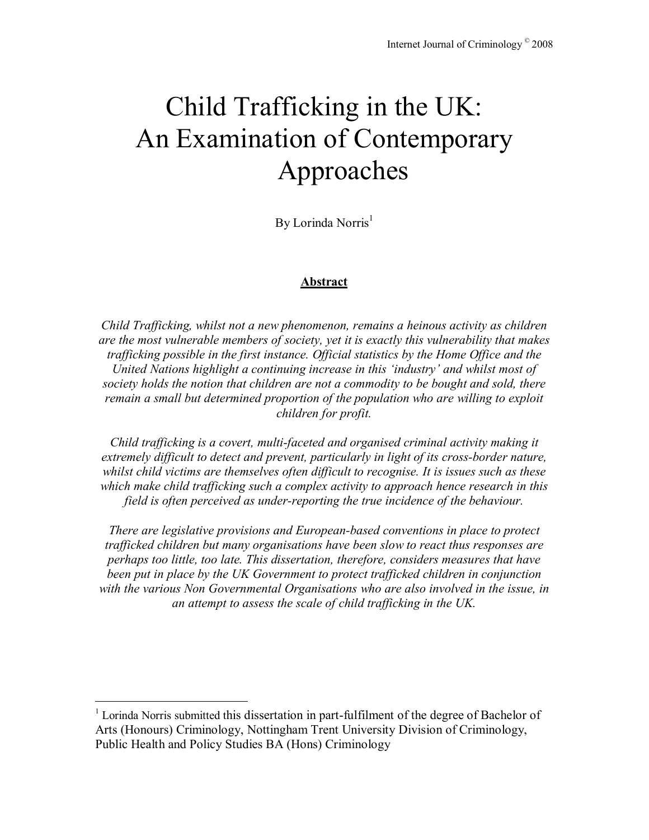# Child Trafficking in the UK: An Examination of Contemporary Approaches

By Lorinda Norris<sup>1</sup>

#### **Abstract**

*Child Trafficking, whilst not a new phenomenon, remains a heinous activity as children are the most vulnerable members of society, yet it is exactly this vulnerability that makes trafficking possible in the first instance. Official statistics by the Home Office and the United Nations highlight a continuing increase in this 'industry' and whilst most of society holds the notion that children are not a commodity to be bought and sold, there remain a small but determined proportion of the population who are willing to exploit children for profit.* 

*Child trafficking is a covert, multi-faceted and organised criminal activity making it extremely difficult to detect and prevent, particularly in light of its cross-border nature, whilst child victims are themselves often difficult to recognise. It is issues such as these which make child trafficking such a complex activity to approach hence research in this field is often perceived as under-reporting the true incidence of the behaviour.* 

*There are legislative provisions and European-based conventions in place to protect trafficked children but many organisations have been slow to react thus responses are perhaps too little, too late. This dissertation, therefore, considers measures that have been put in place by the UK Government to protect trafficked children in conjunction with the various Non Governmental Organisations who are also involved in the issue, in an attempt to assess the scale of child trafficking in the UK.* 

<u>.</u>

<sup>&</sup>lt;sup>1</sup> Lorinda Norris submitted this dissertation in part-fulfilment of the degree of Bachelor of Arts (Honours) Criminology, Nottingham Trent University Division of Criminology, Public Health and Policy Studies BA (Hons) Criminology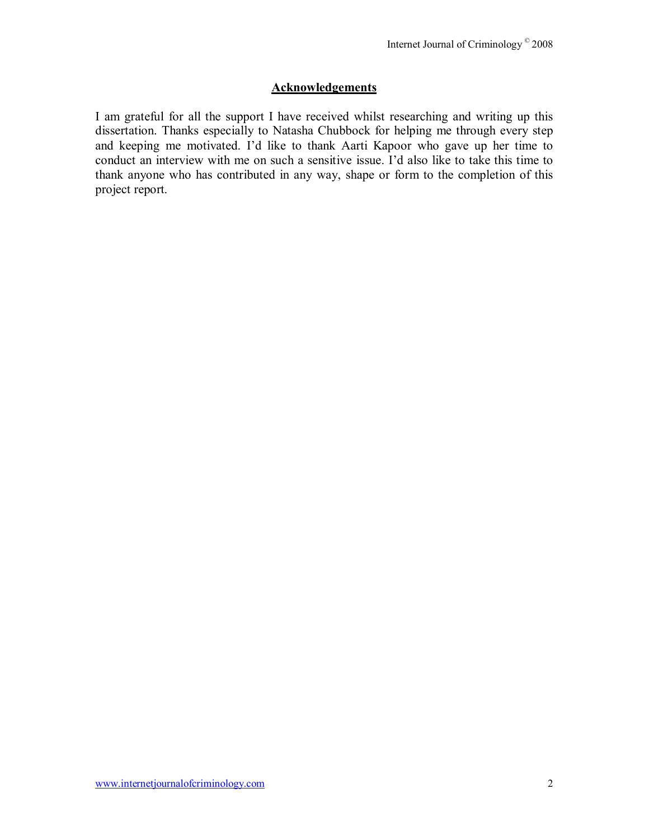## **Acknowledgements**

I am grateful for all the support I have received whilst researching and writing up this dissertation. Thanks especially to Natasha Chubbock for helping me through every step and keeping me motivated. Iíd like to thank Aarti Kapoor who gave up her time to conduct an interview with me on such a sensitive issue. I'd also like to take this time to thank anyone who has contributed in any way, shape or form to the completion of this project report.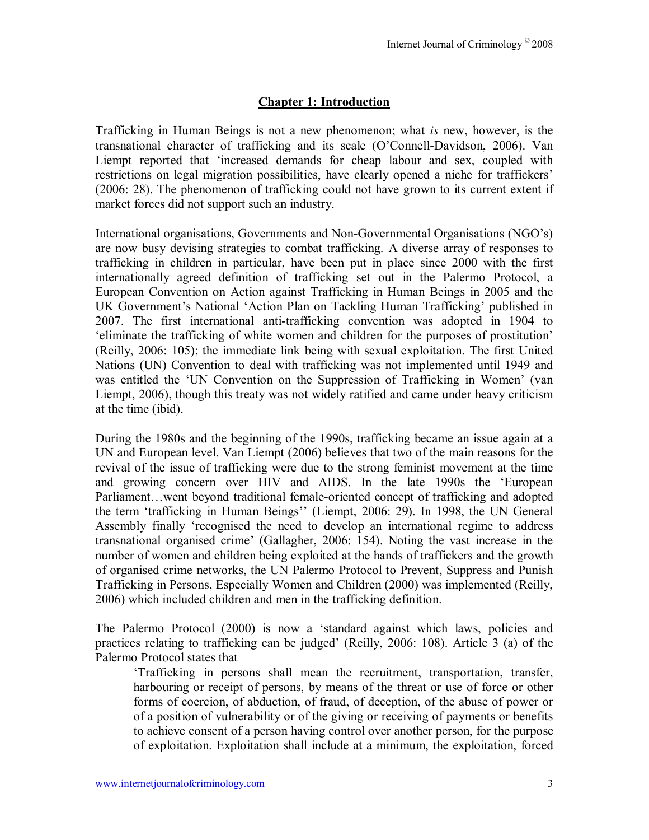# **Chapter 1: Introduction**

Trafficking in Human Beings is not a new phenomenon; what *is* new, however, is the transnational character of trafficking and its scale (O'Connell-Davidson, 2006). Van Liempt reported that ëincreased demands for cheap labour and sex, coupled with restrictions on legal migration possibilities, have clearly opened a niche for traffickers' (2006: 28). The phenomenon of trafficking could not have grown to its current extent if market forces did not support such an industry.

International organisations, Governments and Non-Governmental Organisations (NGO's) are now busy devising strategies to combat trafficking. A diverse array of responses to trafficking in children in particular, have been put in place since 2000 with the first internationally agreed definition of trafficking set out in the Palermo Protocol, a European Convention on Action against Trafficking in Human Beings in 2005 and the UK Government's National 'Action Plan on Tackling Human Trafficking' published in 2007. The first international anti-trafficking convention was adopted in 1904 to ëeliminate the trafficking of white women and children for the purposes of prostitutioní (Reilly, 2006: 105); the immediate link being with sexual exploitation. The first United Nations (UN) Convention to deal with trafficking was not implemented until 1949 and was entitled the 'UN Convention on the Suppression of Trafficking in Women' (van Liempt, 2006), though this treaty was not widely ratified and came under heavy criticism at the time (ibid).

During the 1980s and the beginning of the 1990s, trafficking became an issue again at a UN and European level. Van Liempt (2006) believes that two of the main reasons for the revival of the issue of trafficking were due to the strong feminist movement at the time and growing concern over HIV and AIDS. In the late 1990s the ëEuropean Parliament...went beyond traditional female-oriented concept of trafficking and adopted the term 'trafficking in Human Beings'' (Liempt, 2006: 29). In 1998, the UN General Assembly finally ërecognised the need to develop an international regime to address transnational organised crime' (Gallagher, 2006: 154). Noting the vast increase in the number of women and children being exploited at the hands of traffickers and the growth of organised crime networks, the UN Palermo Protocol to Prevent, Suppress and Punish Trafficking in Persons, Especially Women and Children (2000) was implemented (Reilly, 2006) which included children and men in the trafficking definition.

The Palermo Protocol (2000) is now a ëstandard against which laws, policies and practices relating to trafficking can be judged' (Reilly,  $2006$ : 108). Article 3 (a) of the Palermo Protocol states that

ëTrafficking in persons shall mean the recruitment, transportation, transfer, harbouring or receipt of persons, by means of the threat or use of force or other forms of coercion, of abduction, of fraud, of deception, of the abuse of power or of a position of vulnerability or of the giving or receiving of payments or benefits to achieve consent of a person having control over another person, for the purpose of exploitation. Exploitation shall include at a minimum, the exploitation, forced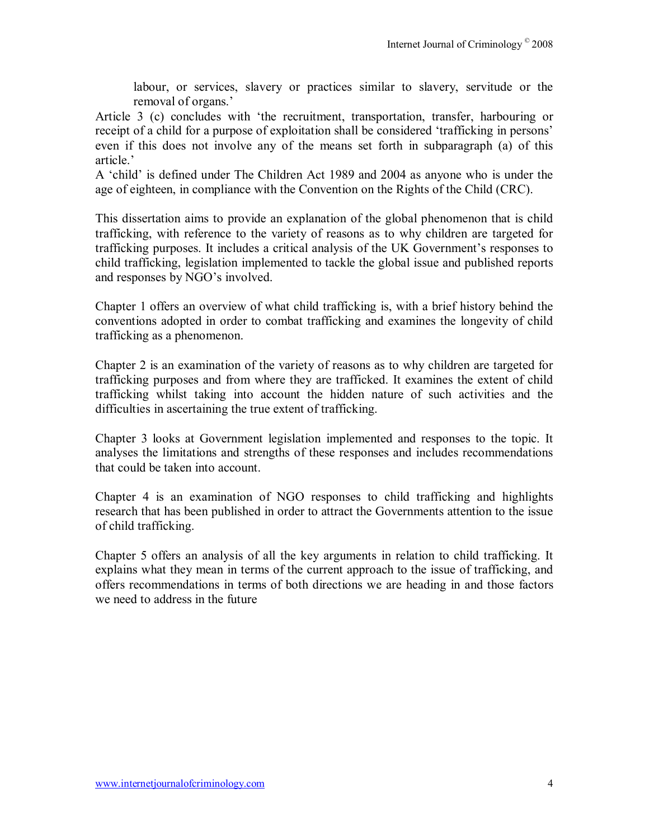labour, or services, slavery or practices similar to slavery, servitude or the removal of organs.<sup>7</sup>

Article 3 (c) concludes with 'the recruitment, transportation, transfer, harbouring or receipt of a child for a purpose of exploitation shall be considered 'trafficking in persons' even if this does not involve any of the means set forth in subparagraph (a) of this article?

A 'child' is defined under The Children Act 1989 and 2004 as anyone who is under the age of eighteen, in compliance with the Convention on the Rights of the Child (CRC).

This dissertation aims to provide an explanation of the global phenomenon that is child trafficking, with reference to the variety of reasons as to why children are targeted for trafficking purposes. It includes a critical analysis of the UK Government's responses to child trafficking, legislation implemented to tackle the global issue and published reports and responses by NGO's involved.

Chapter 1 offers an overview of what child trafficking is, with a brief history behind the conventions adopted in order to combat trafficking and examines the longevity of child trafficking as a phenomenon.

Chapter 2 is an examination of the variety of reasons as to why children are targeted for trafficking purposes and from where they are trafficked. It examines the extent of child trafficking whilst taking into account the hidden nature of such activities and the difficulties in ascertaining the true extent of trafficking.

Chapter 3 looks at Government legislation implemented and responses to the topic. It analyses the limitations and strengths of these responses and includes recommendations that could be taken into account.

Chapter 4 is an examination of NGO responses to child trafficking and highlights research that has been published in order to attract the Governments attention to the issue of child trafficking.

Chapter 5 offers an analysis of all the key arguments in relation to child trafficking. It explains what they mean in terms of the current approach to the issue of trafficking, and offers recommendations in terms of both directions we are heading in and those factors we need to address in the future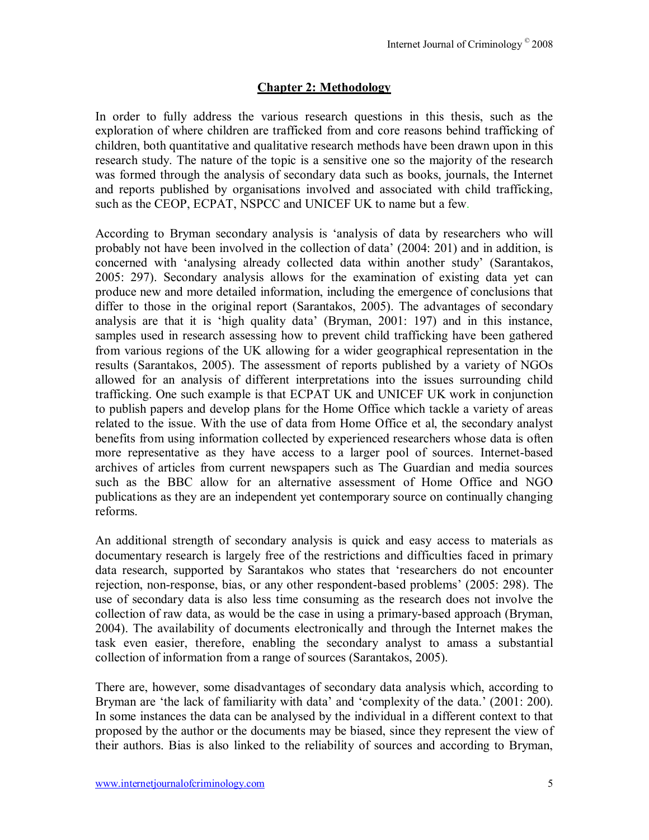# **Chapter 2: Methodology**

In order to fully address the various research questions in this thesis, such as the exploration of where children are trafficked from and core reasons behind trafficking of children, both quantitative and qualitative research methods have been drawn upon in this research study. The nature of the topic is a sensitive one so the majority of the research was formed through the analysis of secondary data such as books, journals, the Internet and reports published by organisations involved and associated with child trafficking, such as the CEOP, ECPAT, NSPCC and UNICEF UK to name but a few.

According to Bryman secondary analysis is ëanalysis of data by researchers who will probably not have been involved in the collection of data' (2004: 201) and in addition, is concerned with 'analysing already collected data within another study' (Sarantakos, 2005: 297). Secondary analysis allows for the examination of existing data yet can produce new and more detailed information, including the emergence of conclusions that differ to those in the original report (Sarantakos, 2005). The advantages of secondary analysis are that it is 'high quality data' (Bryman,  $2001$ : 197) and in this instance, samples used in research assessing how to prevent child trafficking have been gathered from various regions of the UK allowing for a wider geographical representation in the results (Sarantakos, 2005). The assessment of reports published by a variety of NGOs allowed for an analysis of different interpretations into the issues surrounding child trafficking. One such example is that ECPAT UK and UNICEF UK work in conjunction to publish papers and develop plans for the Home Office which tackle a variety of areas related to the issue. With the use of data from Home Office et al, the secondary analyst benefits from using information collected by experienced researchers whose data is often more representative as they have access to a larger pool of sources. Internet-based archives of articles from current newspapers such as The Guardian and media sources such as the BBC allow for an alternative assessment of Home Office and NGO publications as they are an independent yet contemporary source on continually changing reforms.

An additional strength of secondary analysis is quick and easy access to materials as documentary research is largely free of the restrictions and difficulties faced in primary data research, supported by Sarantakos who states that 'researchers do not encounter rejection, non-response, bias, or any other respondent-based problems' (2005: 298). The use of secondary data is also less time consuming as the research does not involve the collection of raw data, as would be the case in using a primary-based approach (Bryman, 2004). The availability of documents electronically and through the Internet makes the task even easier, therefore, enabling the secondary analyst to amass a substantial collection of information from a range of sources (Sarantakos, 2005).

There are, however, some disadvantages of secondary data analysis which, according to Bryman are 'the lack of familiarity with data' and 'complexity of the data.' (2001: 200). In some instances the data can be analysed by the individual in a different context to that proposed by the author or the documents may be biased, since they represent the view of their authors. Bias is also linked to the reliability of sources and according to Bryman,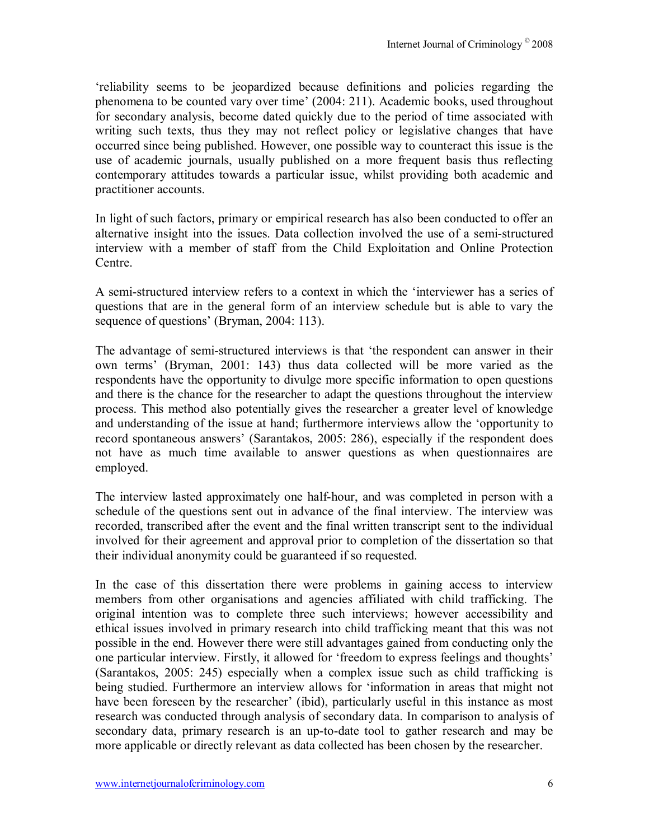ëreliability seems to be jeopardized because definitions and policies regarding the phenomena to be counted vary over time' (2004: 211). Academic books, used throughout for secondary analysis, become dated quickly due to the period of time associated with writing such texts, thus they may not reflect policy or legislative changes that have occurred since being published. However, one possible way to counteract this issue is the use of academic journals, usually published on a more frequent basis thus reflecting contemporary attitudes towards a particular issue, whilst providing both academic and practitioner accounts.

In light of such factors, primary or empirical research has also been conducted to offer an alternative insight into the issues. Data collection involved the use of a semi-structured interview with a member of staff from the Child Exploitation and Online Protection Centre.

A semi-structured interview refers to a context in which the 'interviewer has a series of questions that are in the general form of an interview schedule but is able to vary the sequence of questions' (Bryman, 2004: 113).

The advantage of semi-structured interviews is that 'the respondent can answer in their own terms' (Bryman, 2001: 143) thus data collected will be more varied as the respondents have the opportunity to divulge more specific information to open questions and there is the chance for the researcher to adapt the questions throughout the interview process. This method also potentially gives the researcher a greater level of knowledge and understanding of the issue at hand; furthermore interviews allow the ëopportunity to record spontaneous answers' (Sarantakos, 2005: 286), especially if the respondent does not have as much time available to answer questions as when questionnaires are employed.

The interview lasted approximately one half-hour, and was completed in person with a schedule of the questions sent out in advance of the final interview. The interview was recorded, transcribed after the event and the final written transcript sent to the individual involved for their agreement and approval prior to completion of the dissertation so that their individual anonymity could be guaranteed if so requested.

In the case of this dissertation there were problems in gaining access to interview members from other organisations and agencies affiliated with child trafficking. The original intention was to complete three such interviews; however accessibility and ethical issues involved in primary research into child trafficking meant that this was not possible in the end. However there were still advantages gained from conducting only the one particular interview. Firstly, it allowed for 'freedom to express feelings and thoughts' (Sarantakos, 2005: 245) especially when a complex issue such as child trafficking is being studied. Furthermore an interview allows for 'information in areas that might not have been foreseen by the researcher' (ibid), particularly useful in this instance as most research was conducted through analysis of secondary data. In comparison to analysis of secondary data, primary research is an up-to-date tool to gather research and may be more applicable or directly relevant as data collected has been chosen by the researcher.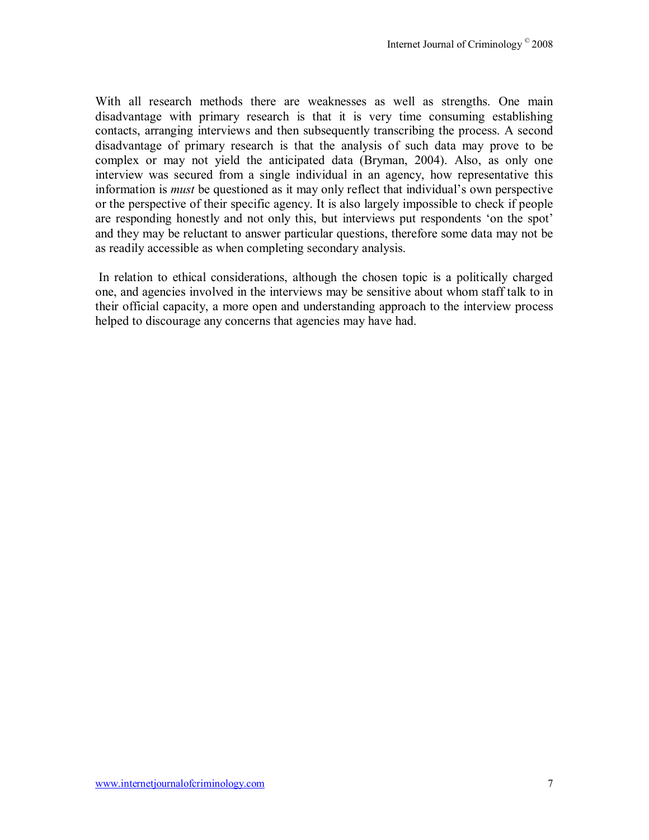With all research methods there are weaknesses as well as strengths. One main disadvantage with primary research is that it is very time consuming establishing contacts, arranging interviews and then subsequently transcribing the process. A second disadvantage of primary research is that the analysis of such data may prove to be complex or may not yield the anticipated data (Bryman, 2004). Also, as only one interview was secured from a single individual in an agency, how representative this information is *must* be questioned as it may only reflect that individual's own perspective or the perspective of their specific agency. It is also largely impossible to check if people are responding honestly and not only this, but interviews put respondents 'on the spot' and they may be reluctant to answer particular questions, therefore some data may not be as readily accessible as when completing secondary analysis.

 In relation to ethical considerations, although the chosen topic is a politically charged one, and agencies involved in the interviews may be sensitive about whom staff talk to in their official capacity, a more open and understanding approach to the interview process helped to discourage any concerns that agencies may have had.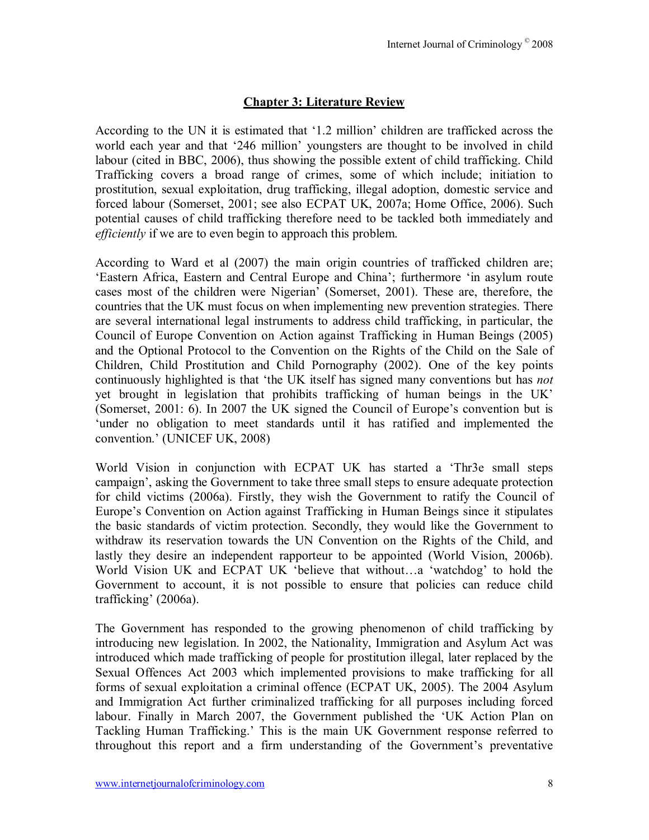# **Chapter 3: Literature Review**

According to the UN it is estimated that  $1.2$  million' children are trafficked across the world each year and that '246 million' youngsters are thought to be involved in child labour (cited in BBC, 2006), thus showing the possible extent of child trafficking. Child Trafficking covers a broad range of crimes, some of which include; initiation to prostitution, sexual exploitation, drug trafficking, illegal adoption, domestic service and forced labour (Somerset, 2001; see also ECPAT UK, 2007a; Home Office, 2006). Such potential causes of child trafficking therefore need to be tackled both immediately and *efficiently* if we are to even begin to approach this problem.

According to Ward et al (2007) the main origin countries of trafficked children are; ëEastern Africa, Eastern and Central Europe and Chinaí; furthermore ëin asylum route cases most of the children were Nigerian' (Somerset, 2001). These are, therefore, the countries that the UK must focus on when implementing new prevention strategies. There are several international legal instruments to address child trafficking, in particular, the Council of Europe Convention on Action against Trafficking in Human Beings (2005) and the Optional Protocol to the Convention on the Rights of the Child on the Sale of Children, Child Prostitution and Child Pornography (2002). One of the key points continuously highlighted is that 'the UK itself has signed many conventions but has *not* yet brought in legislation that prohibits trafficking of human beings in the UK (Somerset,  $2001: 6$ ). In  $2007$  the UK signed the Council of Europe's convention but is ëunder no obligation to meet standards until it has ratified and implemented the convention.' (UNICEF UK, 2008)

World Vision in conjunction with ECPAT UK has started a 'Thr3e small steps campaign', asking the Government to take three small steps to ensure adequate protection for child victims (2006a). Firstly, they wish the Government to ratify the Council of Europe's Convention on Action against Trafficking in Human Beings since it stipulates the basic standards of victim protection. Secondly, they would like the Government to withdraw its reservation towards the UN Convention on the Rights of the Child, and lastly they desire an independent rapporteur to be appointed (World Vision, 2006b). World Vision UK and ECPAT UK 'believe that without...a 'watchdog' to hold the Government to account, it is not possible to ensure that policies can reduce child trafficking' (2006a).

The Government has responded to the growing phenomenon of child trafficking by introducing new legislation. In 2002, the Nationality, Immigration and Asylum Act was introduced which made trafficking of people for prostitution illegal, later replaced by the Sexual Offences Act 2003 which implemented provisions to make trafficking for all forms of sexual exploitation a criminal offence (ECPAT UK, 2005). The 2004 Asylum and Immigration Act further criminalized trafficking for all purposes including forced labour. Finally in March 2007, the Government published the 'UK Action Plan on Tackling Human Trafficking.' This is the main UK Government response referred to throughout this report and a firm understanding of the Government's preventative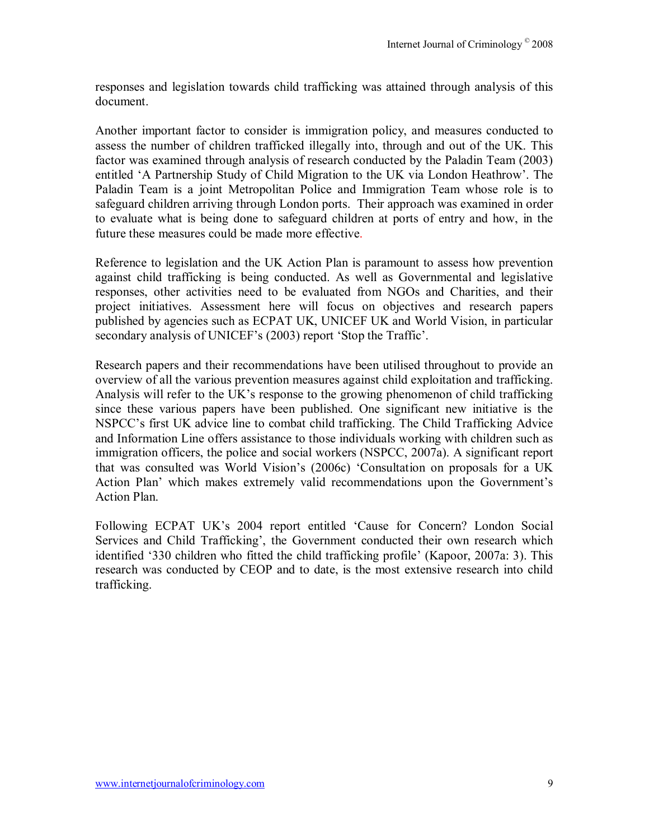responses and legislation towards child trafficking was attained through analysis of this document.

Another important factor to consider is immigration policy, and measures conducted to assess the number of children trafficked illegally into, through and out of the UK. This factor was examined through analysis of research conducted by the Paladin Team (2003) entitled 'A Partnership Study of Child Migration to the UK via London Heathrow'. The Paladin Team is a joint Metropolitan Police and Immigration Team whose role is to safeguard children arriving through London ports. Their approach was examined in order to evaluate what is being done to safeguard children at ports of entry and how, in the future these measures could be made more effective.

Reference to legislation and the UK Action Plan is paramount to assess how prevention against child trafficking is being conducted. As well as Governmental and legislative responses, other activities need to be evaluated from NGOs and Charities, and their project initiatives. Assessment here will focus on objectives and research papers published by agencies such as ECPAT UK, UNICEF UK and World Vision, in particular secondary analysis of UNICEF's (2003) report 'Stop the Traffic'.

Research papers and their recommendations have been utilised throughout to provide an overview of all the various prevention measures against child exploitation and trafficking. Analysis will refer to the UK's response to the growing phenomenon of child trafficking since these various papers have been published. One significant new initiative is the NSPCC's first UK advice line to combat child trafficking. The Child Trafficking Advice and Information Line offers assistance to those individuals working with children such as immigration officers, the police and social workers (NSPCC, 2007a). A significant report that was consulted was World Vision's (2006c) 'Consultation on proposals for a UK Action Plan' which makes extremely valid recommendations upon the Government's Action Plan.

Following ECPAT UK's 2004 report entitled 'Cause for Concern? London Social Services and Child Trafficking', the Government conducted their own research which identified '330 children who fitted the child trafficking profile' (Kapoor, 2007a: 3). This research was conducted by CEOP and to date, is the most extensive research into child trafficking.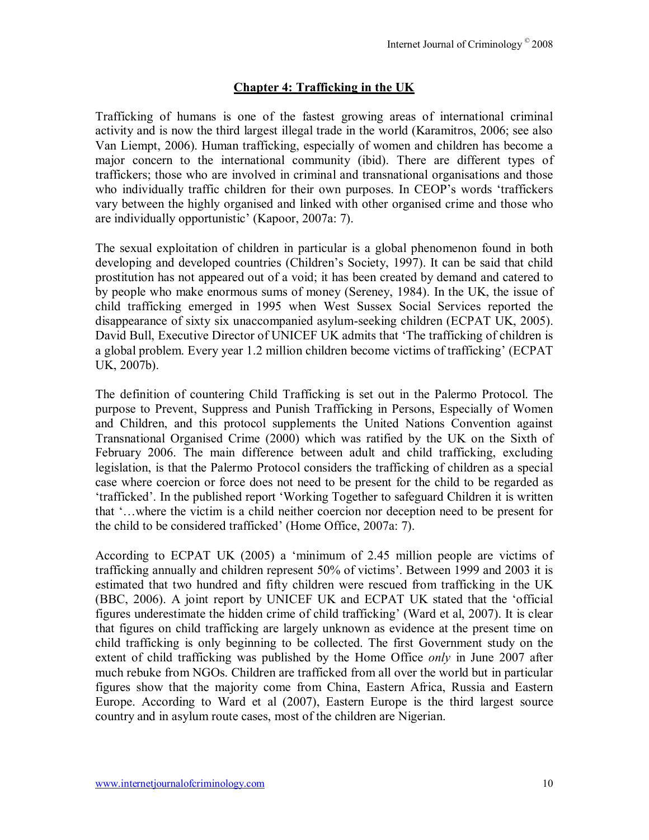## **Chapter 4: Trafficking in the UK**

Trafficking of humans is one of the fastest growing areas of international criminal activity and is now the third largest illegal trade in the world (Karamitros, 2006; see also Van Liempt, 2006). Human trafficking, especially of women and children has become a major concern to the international community (ibid). There are different types of traffickers; those who are involved in criminal and transnational organisations and those who individually traffic children for their own purposes. In CEOP's words 'traffickers vary between the highly organised and linked with other organised crime and those who are individually opportunistic' (Kapoor, 2007a: 7).

The sexual exploitation of children in particular is a global phenomenon found in both developing and developed countries (Children's Society, 1997). It can be said that child prostitution has not appeared out of a void; it has been created by demand and catered to by people who make enormous sums of money (Sereney, 1984). In the UK, the issue of child trafficking emerged in 1995 when West Sussex Social Services reported the disappearance of sixty six unaccompanied asylum-seeking children (ECPAT UK, 2005). David Bull, Executive Director of UNICEF UK admits that 'The trafficking of children is a global problem. Every year 1.2 million children become victims of trafficking' (ECPAT) UK, 2007b).

The definition of countering Child Trafficking is set out in the Palermo Protocol. The purpose to Prevent, Suppress and Punish Trafficking in Persons, Especially of Women and Children, and this protocol supplements the United Nations Convention against Transnational Organised Crime (2000) which was ratified by the UK on the Sixth of February 2006. The main difference between adult and child trafficking, excluding legislation, is that the Palermo Protocol considers the trafficking of children as a special case where coercion or force does not need to be present for the child to be regarded as 'trafficked'. In the published report 'Working Together to safeguard Children it is written that "...where the victim is a child neither coercion nor deception need to be present for the child to be considered trafficked' (Home Office, 2007a: 7).

According to ECPAT UK (2005) a ëminimum of 2.45 million people are victims of trafficking annually and children represent 50% of victims'. Between 1999 and 2003 it is estimated that two hundred and fifty children were rescued from trafficking in the UK (BBC, 2006). A joint report by UNICEF UK and ECPAT UK stated that the 'official figures underestimate the hidden crime of child trafficking' (Ward et al, 2007). It is clear that figures on child trafficking are largely unknown as evidence at the present time on child trafficking is only beginning to be collected. The first Government study on the extent of child trafficking was published by the Home Office *only* in June 2007 after much rebuke from NGOs. Children are trafficked from all over the world but in particular figures show that the majority come from China, Eastern Africa, Russia and Eastern Europe. According to Ward et al (2007), Eastern Europe is the third largest source country and in asylum route cases, most of the children are Nigerian.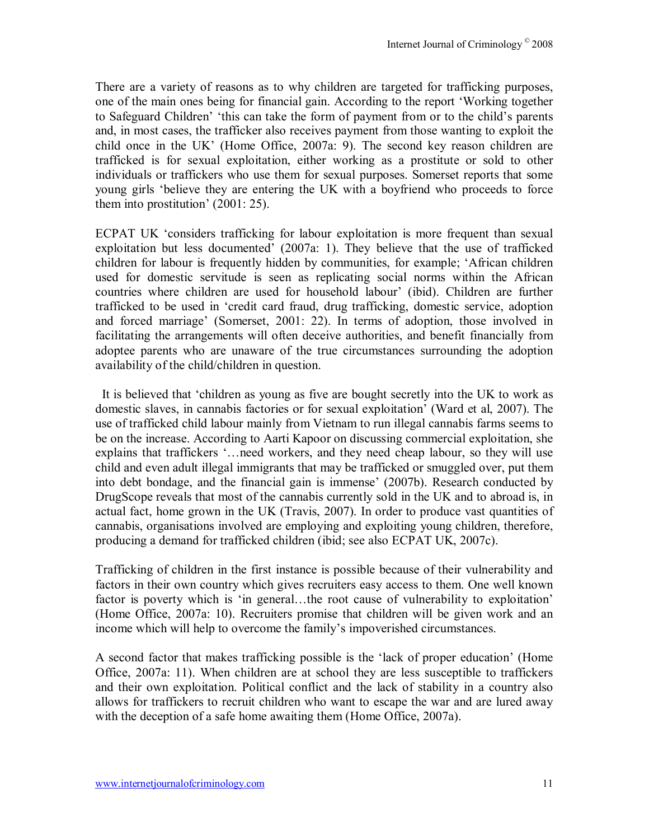There are a variety of reasons as to why children are targeted for trafficking purposes, one of the main ones being for financial gain. According to the report ëWorking together to Safeguard Children<sup>, ethis</sup> can take the form of payment from or to the child's parents and, in most cases, the trafficker also receives payment from those wanting to exploit the child once in the UK' (Home Office, 2007a: 9). The second key reason children are trafficked is for sexual exploitation, either working as a prostitute or sold to other individuals or traffickers who use them for sexual purposes. Somerset reports that some young girls ëbelieve they are entering the UK with a boyfriend who proceeds to force them into prostitution'  $(2001: 25)$ .

ECPAT UK ëconsiders trafficking for labour exploitation is more frequent than sexual exploitation but less documented  $(2007a: 1)$ . They believe that the use of trafficked children for labour is frequently hidden by communities, for example; 'African children used for domestic servitude is seen as replicating social norms within the African countries where children are used for household labour' (ibid). Children are further trafficked to be used in ëcredit card fraud, drug trafficking, domestic service, adoption and forced marriage' (Somerset, 2001: 22). In terms of adoption, those involved in facilitating the arrangements will often deceive authorities, and benefit financially from adoptee parents who are unaware of the true circumstances surrounding the adoption availability of the child/children in question.

 It is believed that ëchildren as young as five are bought secretly into the UK to work as domestic slaves, in cannabis factories or for sexual exploitation' (Ward et al, 2007). The use of trafficked child labour mainly from Vietnam to run illegal cannabis farms seems to be on the increase. According to Aarti Kapoor on discussing commercial exploitation, she explains that traffickers '... need workers, and they need cheap labour, so they will use child and even adult illegal immigrants that may be trafficked or smuggled over, put them into debt bondage, and the financial gain is immense $(2007b)$ . Research conducted by DrugScope reveals that most of the cannabis currently sold in the UK and to abroad is, in actual fact, home grown in the UK (Travis, 2007). In order to produce vast quantities of cannabis, organisations involved are employing and exploiting young children, therefore, producing a demand for trafficked children (ibid; see also ECPAT UK, 2007c).

Trafficking of children in the first instance is possible because of their vulnerability and factors in their own country which gives recruiters easy access to them. One well known factor is poverty which is 'in general...the root cause of vulnerability to exploitation' (Home Office, 2007a: 10). Recruiters promise that children will be given work and an income which will help to overcome the family's impoverished circumstances.

A second factor that makes trafficking possible is the 'lack of proper education' (Home Office, 2007a: 11). When children are at school they are less susceptible to traffickers and their own exploitation. Political conflict and the lack of stability in a country also allows for traffickers to recruit children who want to escape the war and are lured away with the deception of a safe home awaiting them (Home Office, 2007a).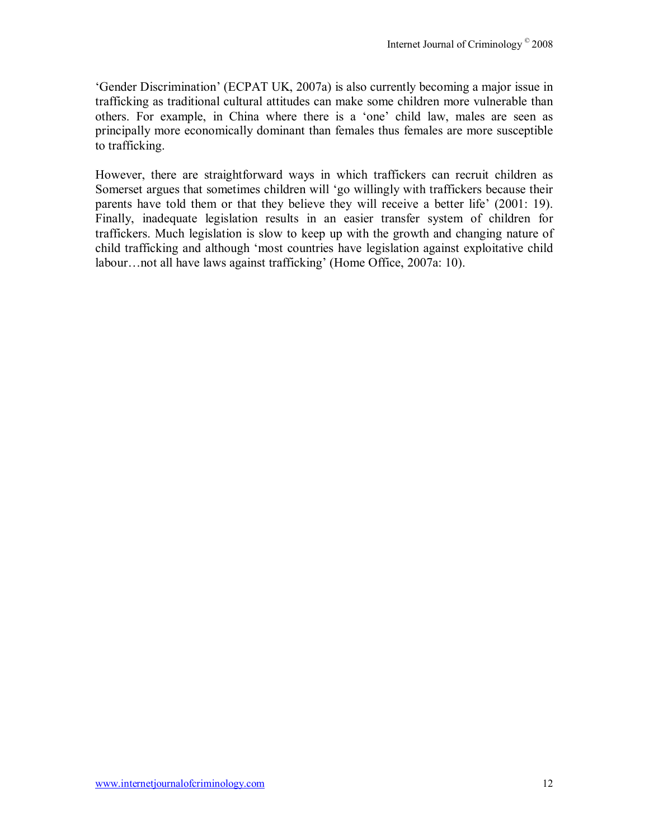ëGender Discriminationí (ECPAT UK, 2007a) is also currently becoming a major issue in trafficking as traditional cultural attitudes can make some children more vulnerable than others. For example, in China where there is a 'one' child law, males are seen as principally more economically dominant than females thus females are more susceptible to trafficking.

However, there are straightforward ways in which traffickers can recruit children as Somerset argues that sometimes children will 'go willingly with traffickers because their parents have told them or that they believe they will receive a better life' (2001: 19). Finally, inadequate legislation results in an easier transfer system of children for traffickers. Much legislation is slow to keep up with the growth and changing nature of child trafficking and although ëmost countries have legislation against exploitative child labour...not all have laws against trafficking' (Home Office, 2007a: 10).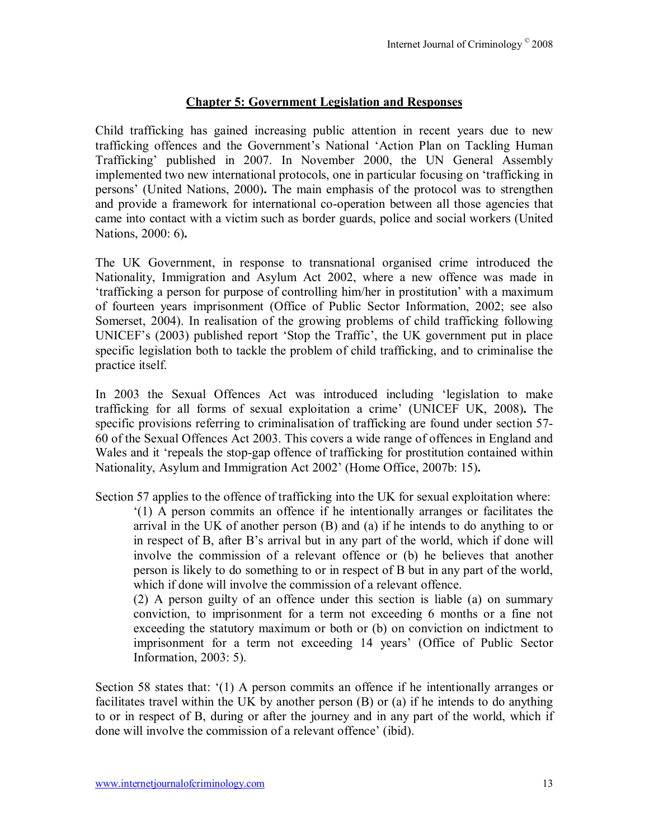## **Chapter 5: Government Legislation and Responses**

Child trafficking has gained increasing public attention in recent years due to new trafficking offences and the Government's National 'Action Plan on Tackling Human Traffickingí published in 2007. In November 2000, the UN General Assembly implemented two new international protocols, one in particular focusing on ëtrafficking in persons' (United Nations, 2000). The main emphasis of the protocol was to strengthen and provide a framework for international co-operation between all those agencies that came into contact with a victim such as border guards, police and social workers (United Nations, 2000: 6)**.** 

The UK Government, in response to transnational organised crime introduced the Nationality, Immigration and Asylum Act 2002, where a new offence was made in 'trafficking a person for purpose of controlling him/her in prostitution' with a maximum of fourteen years imprisonment (Office of Public Sector Information, 2002; see also Somerset, 2004). In realisation of the growing problems of child trafficking following UNICEF's (2003) published report 'Stop the Traffic', the UK government put in place specific legislation both to tackle the problem of child trafficking, and to criminalise the practice itself.

In 2003 the Sexual Offences Act was introduced including 'legislation to make trafficking for all forms of sexual exploitation a crime' (UNICEF UK, 2008). The specific provisions referring to criminalisation of trafficking are found under section 57- 60 of the Sexual Offences Act 2003. This covers a wide range of offences in England and Wales and it 'repeals the stop-gap offence of trafficking for prostitution contained within Nationality, Asylum and Immigration Act 2002' (Home Office, 2007b: 15).

Section 57 applies to the offence of trafficking into the UK for sexual exploitation where: ë(1) A person commits an offence if he intentionally arranges or facilitates the arrival in the UK of another person (B) and (a) if he intends to do anything to or in respect of B, after B's arrival but in any part of the world, which if done will involve the commission of a relevant offence or (b) he believes that another person is likely to do something to or in respect of B but in any part of the world, which if done will involve the commission of a relevant offence.

(2) A person guilty of an offence under this section is liable (a) on summary conviction, to imprisonment for a term not exceeding 6 months or a fine not exceeding the statutory maximum or both or (b) on conviction on indictment to imprisonment for a term not exceeding 14 years' (Office of Public Sector Information, 2003: 5).

Section 58 states that:  $(1)$  A person commits an offence if he intentionally arranges or facilitates travel within the UK by another person (B) or (a) if he intends to do anything to or in respect of B, during or after the journey and in any part of the world, which if done will involve the commission of a relevant offence' (ibid).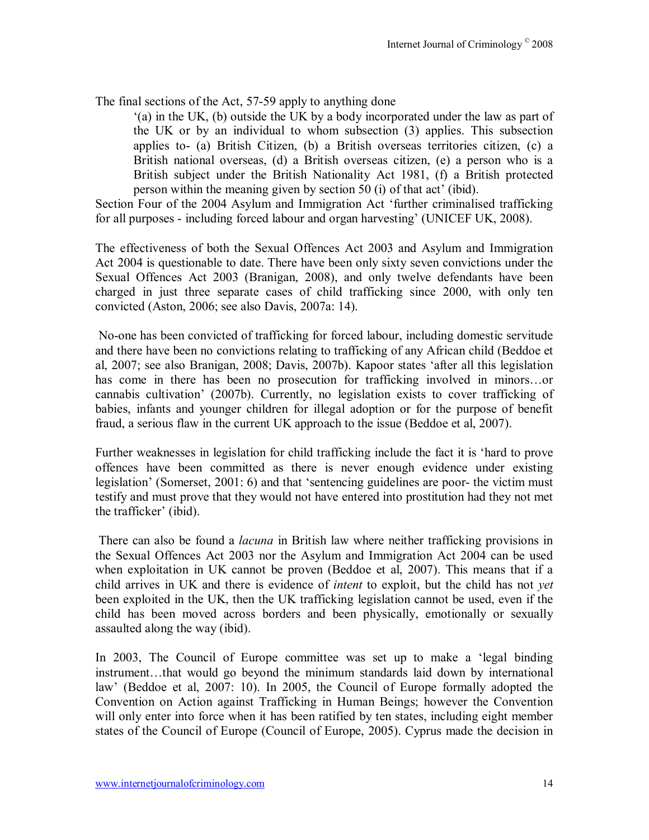The final sections of the Act, 57-59 apply to anything done

ë(a) in the UK, (b) outside the UK by a body incorporated under the law as part of the UK or by an individual to whom subsection (3) applies. This subsection applies to- (a) British Citizen, (b) a British overseas territories citizen, (c) a British national overseas, (d) a British overseas citizen, (e) a person who is a British subject under the British Nationality Act 1981, (f) a British protected person within the meaning given by section 50 (i) of that act' (ibid).

Section Four of the 2004 Asylum and Immigration Act 'further criminalised trafficking for all purposes - including forced labour and organ harvesting' (UNICEF UK, 2008).

The effectiveness of both the Sexual Offences Act 2003 and Asylum and Immigration Act 2004 is questionable to date. There have been only sixty seven convictions under the Sexual Offences Act 2003 (Branigan, 2008), and only twelve defendants have been charged in just three separate cases of child trafficking since 2000, with only ten convicted (Aston, 2006; see also Davis, 2007a: 14).

 No-one has been convicted of trafficking for forced labour, including domestic servitude and there have been no convictions relating to trafficking of any African child (Beddoe et al, 2007; see also Branigan, 2008; Davis, 2007b). Kapoor states ëafter all this legislation has come in there has been no prosecution for trafficking involved in minors...or cannabis cultivation<sup>3</sup> (2007b). Currently, no legislation exists to cover trafficking of babies, infants and younger children for illegal adoption or for the purpose of benefit fraud, a serious flaw in the current UK approach to the issue (Beddoe et al, 2007).

Further weaknesses in legislation for child trafficking include the fact it is ëhard to prove offences have been committed as there is never enough evidence under existing legislation' (Somerset, 2001: 6) and that 'sentencing guidelines are poor- the victim must testify and must prove that they would not have entered into prostitution had they not met the trafficker' (ibid).

 There can also be found a *lacuna* in British law where neither trafficking provisions in the Sexual Offences Act 2003 nor the Asylum and Immigration Act 2004 can be used when exploitation in UK cannot be proven (Beddoe et al, 2007). This means that if a child arrives in UK and there is evidence of *intent* to exploit, but the child has not *yet* been exploited in the UK, then the UK trafficking legislation cannot be used, even if the child has been moved across borders and been physically, emotionally or sexually assaulted along the way (ibid).

In 2003, The Council of Europe committee was set up to make a 'legal binding instrument...that would go beyond the minimum standards laid down by international law' (Beddoe et al, 2007: 10). In 2005, the Council of Europe formally adopted the Convention on Action against Trafficking in Human Beings; however the Convention will only enter into force when it has been ratified by ten states, including eight member states of the Council of Europe (Council of Europe, 2005). Cyprus made the decision in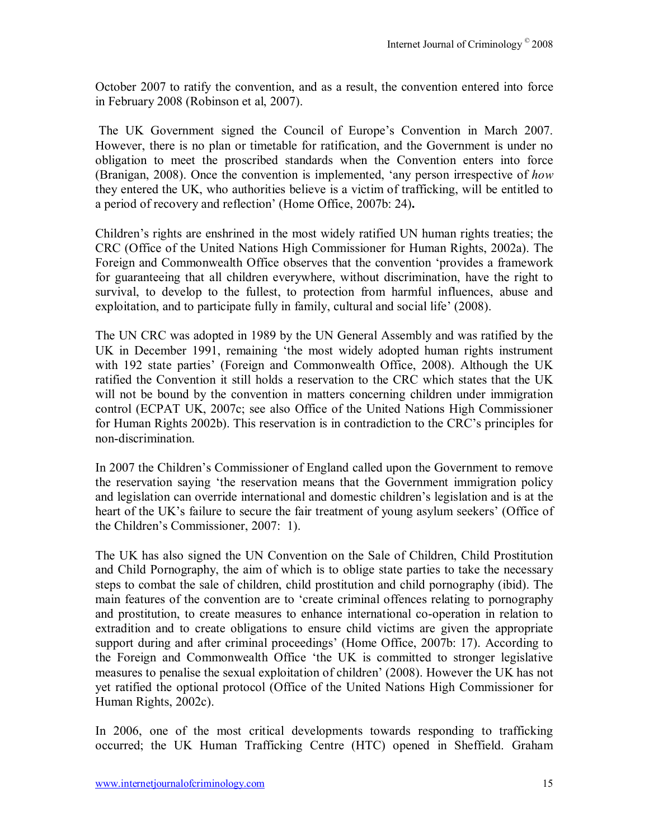October 2007 to ratify the convention, and as a result, the convention entered into force in February 2008 (Robinson et al, 2007).

The UK Government signed the Council of Europe's Convention in March 2007. However, there is no plan or timetable for ratification, and the Government is under no obligation to meet the proscribed standards when the Convention enters into force (Branigan, 2008). Once the convention is implemented, ëany person irrespective of *how*  they entered the UK, who authorities believe is a victim of trafficking, will be entitled to a period of recovery and reflection' (Home Office, 2007b: 24).

Children's rights are enshrined in the most widely ratified UN human rights treaties; the CRC (Office of the United Nations High Commissioner for Human Rights, 2002a). The Foreign and Commonwealth Office observes that the convention 'provides a framework for guaranteeing that all children everywhere, without discrimination, have the right to survival, to develop to the fullest, to protection from harmful influences, abuse and exploitation, and to participate fully in family, cultural and social life' (2008).

The UN CRC was adopted in 1989 by the UN General Assembly and was ratified by the UK in December 1991, remaining ëthe most widely adopted human rights instrument with 192 state parties' (Foreign and Commonwealth Office, 2008). Although the UK ratified the Convention it still holds a reservation to the CRC which states that the UK will not be bound by the convention in matters concerning children under immigration control (ECPAT UK, 2007c; see also Office of the United Nations High Commissioner for Human Rights 2002b). This reservation is in contradiction to the CRC's principles for non-discrimination.

In 2007 the Children's Commissioner of England called upon the Government to remove the reservation saying ëthe reservation means that the Government immigration policy and legislation can override international and domestic children's legislation and is at the heart of the UK's failure to secure the fair treatment of young asylum seekers' (Office of the Children's Commissioner, 2007: 1).

The UK has also signed the UN Convention on the Sale of Children, Child Prostitution and Child Pornography, the aim of which is to oblige state parties to take the necessary steps to combat the sale of children, child prostitution and child pornography (ibid). The main features of the convention are to ëcreate criminal offences relating to pornography and prostitution, to create measures to enhance international co-operation in relation to extradition and to create obligations to ensure child victims are given the appropriate support during and after criminal proceedings' (Home Office, 2007b: 17). According to the Foreign and Commonwealth Office ëthe UK is committed to stronger legislative measures to penalise the sexual exploitation of children' (2008). However the UK has not yet ratified the optional protocol (Office of the United Nations High Commissioner for Human Rights, 2002c).

In 2006, one of the most critical developments towards responding to trafficking occurred; the UK Human Trafficking Centre (HTC) opened in Sheffield. Graham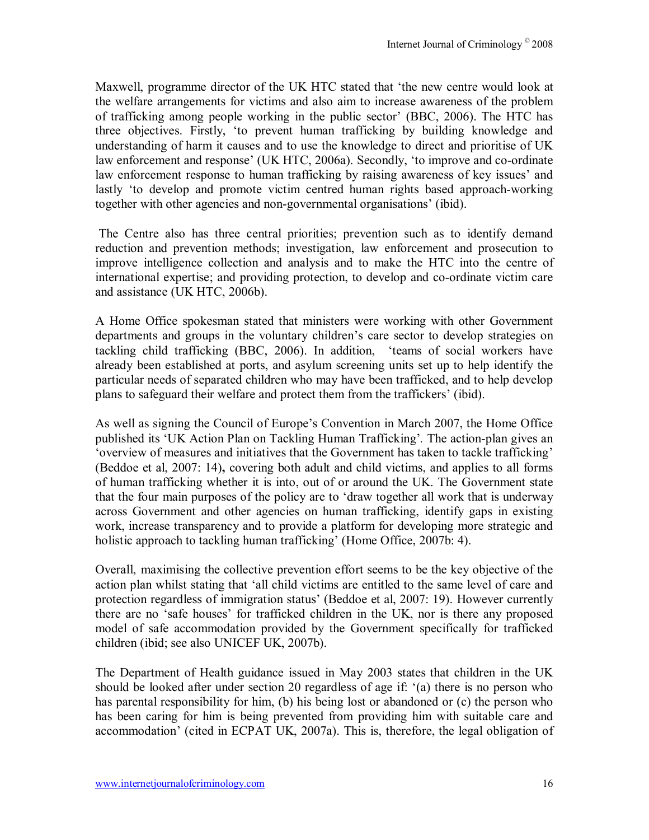Maxwell, programme director of the UK HTC stated that 'the new centre would look at the welfare arrangements for victims and also aim to increase awareness of the problem of trafficking among people working in the public sector' (BBC, 2006). The HTC has three objectives. Firstly, ëto prevent human trafficking by building knowledge and understanding of harm it causes and to use the knowledge to direct and prioritise of UK law enforcement and response' (UK HTC, 2006a). Secondly, 'to improve and co-ordinate law enforcement response to human trafficking by raising awareness of key issues' and lastly 'to develop and promote victim centred human rights based approach-working together with other agencies and non-governmental organisations' (ibid).

 The Centre also has three central priorities; prevention such as to identify demand reduction and prevention methods; investigation, law enforcement and prosecution to improve intelligence collection and analysis and to make the HTC into the centre of international expertise; and providing protection, to develop and co-ordinate victim care and assistance (UK HTC, 2006b).

A Home Office spokesman stated that ministers were working with other Government departments and groups in the voluntary children's care sector to develop strategies on tackling child trafficking (BBC, 2006). In addition, ëteams of social workers have already been established at ports, and asylum screening units set up to help identify the particular needs of separated children who may have been trafficked, and to help develop plans to safeguard their welfare and protect them from the traffickers' (ibid).

As well as signing the Council of Europe's Convention in March 2007, the Home Office published its ëUK Action Plan on Tackling Human Traffickingí*.* The action-plan gives an ëoverview of measures and initiatives that the Government has taken to tackle traffickingí (Beddoe et al, 2007: 14)**,** covering both adult and child victims, and applies to all forms of human trafficking whether it is into, out of or around the UK. The Government state that the four main purposes of the policy are to 'draw together all work that is underway across Government and other agencies on human trafficking, identify gaps in existing work, increase transparency and to provide a platform for developing more strategic and holistic approach to tackling human trafficking' (Home Office, 2007b: 4).

Overall, maximising the collective prevention effort seems to be the key objective of the action plan whilst stating that ëall child victims are entitled to the same level of care and protection regardless of immigration status' (Beddoe et al, 2007: 19). However currently there are no 'safe houses' for trafficked children in the UK, nor is there any proposed model of safe accommodation provided by the Government specifically for trafficked children (ibid; see also UNICEF UK, 2007b).

The Department of Health guidance issued in May 2003 states that children in the UK should be looked after under section 20 regardless of age if: ë(a) there is no person who has parental responsibility for him, (b) his being lost or abandoned or (c) the person who has been caring for him is being prevented from providing him with suitable care and accommodation<sup>3</sup> (cited in ECPAT UK, 2007a). This is, therefore, the legal obligation of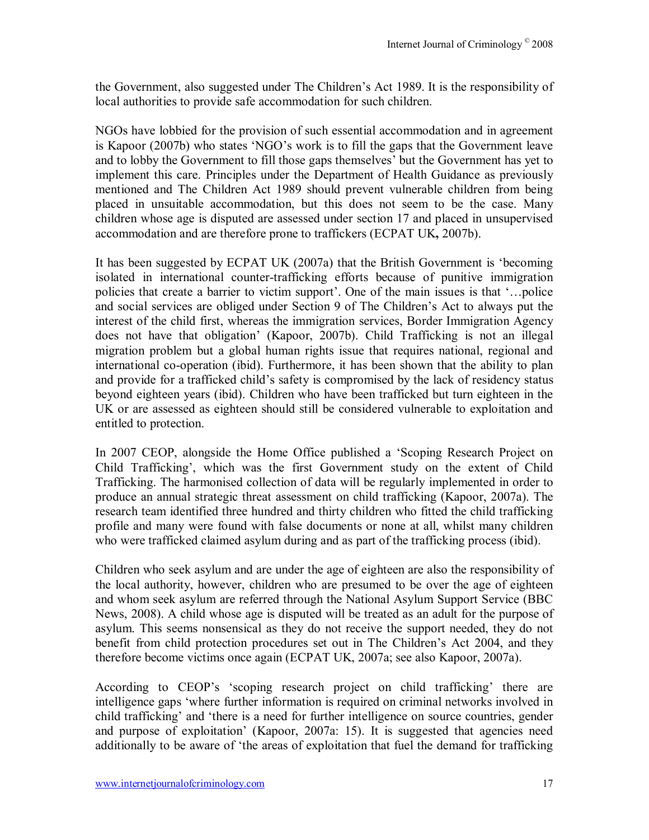the Government, also suggested under The Children's Act 1989. It is the responsibility of local authorities to provide safe accommodation for such children.

NGOs have lobbied for the provision of such essential accommodation and in agreement is Kapoor  $(2007b)$  who states 'NGO's work is to fill the gaps that the Government leave and to lobby the Government to fill those gaps themselves' but the Government has yet to implement this care. Principles under the Department of Health Guidance as previously mentioned and The Children Act 1989 should prevent vulnerable children from being placed in unsuitable accommodation, but this does not seem to be the case. Many children whose age is disputed are assessed under section 17 and placed in unsupervised accommodation and are therefore prone to traffickers (ECPAT UK**,** 2007b).

It has been suggested by ECPAT UK (2007a) that the British Government is ëbecoming isolated in international counter-trafficking efforts because of punitive immigration policies that create a barrier to victim support'. One of the main issues is that '...police and social services are obliged under Section 9 of The Children's Act to always put the interest of the child first, whereas the immigration services, Border Immigration Agency does not have that obligation' (Kapoor, 2007b). Child Trafficking is not an illegal migration problem but a global human rights issue that requires national, regional and international co-operation (ibid). Furthermore, it has been shown that the ability to plan and provide for a trafficked child's safety is compromised by the lack of residency status beyond eighteen years (ibid). Children who have been trafficked but turn eighteen in the UK or are assessed as eighteen should still be considered vulnerable to exploitation and entitled to protection.

In 2007 CEOP, alongside the Home Office published a 'Scoping Research Project on Child Trafficking', which was the first Government study on the extent of Child Trafficking. The harmonised collection of data will be regularly implemented in order to produce an annual strategic threat assessment on child trafficking (Kapoor, 2007a). The research team identified three hundred and thirty children who fitted the child trafficking profile and many were found with false documents or none at all, whilst many children who were trafficked claimed asylum during and as part of the trafficking process (ibid).

Children who seek asylum and are under the age of eighteen are also the responsibility of the local authority, however, children who are presumed to be over the age of eighteen and whom seek asylum are referred through the National Asylum Support Service (BBC News, 2008). A child whose age is disputed will be treated as an adult for the purpose of asylum. This seems nonsensical as they do not receive the support needed, they do not benefit from child protection procedures set out in The Children's Act 2004, and they therefore become victims once again (ECPAT UK, 2007a; see also Kapoor, 2007a).

According to CEOP's 'scoping research project on child trafficking' there are intelligence gaps ëwhere further information is required on criminal networks involved in child trafficking' and 'there is a need for further intelligence on source countries, gender and purpose of exploitation' (Kapoor, 2007a: 15). It is suggested that agencies need additionally to be aware of 'the areas of exploitation that fuel the demand for trafficking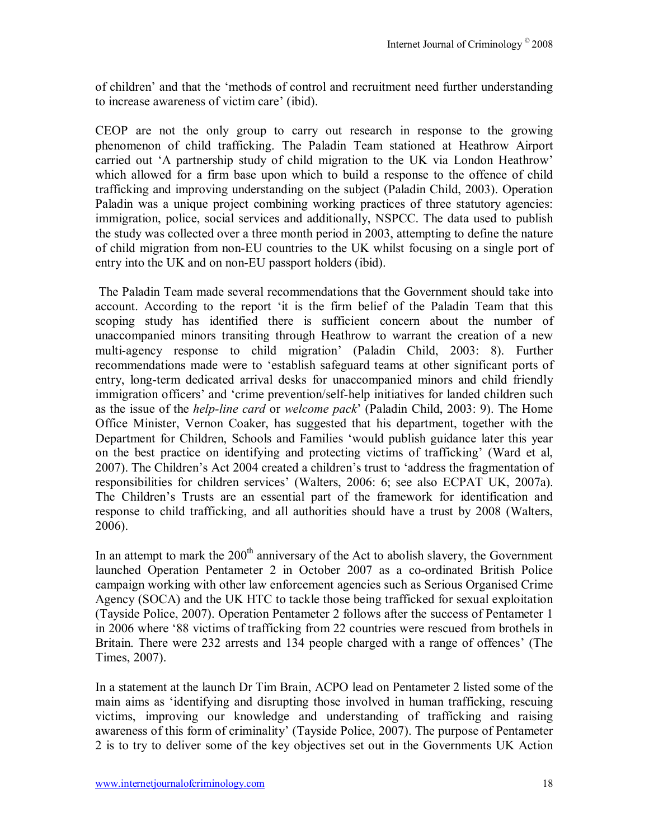of children' and that the 'methods of control and recruitment need further understanding to increase awareness of victim care' (ibid).

CEOP are not the only group to carry out research in response to the growing phenomenon of child trafficking. The Paladin Team stationed at Heathrow Airport carried out 'A partnership study of child migration to the UK via London Heathrow' which allowed for a firm base upon which to build a response to the offence of child trafficking and improving understanding on the subject (Paladin Child, 2003). Operation Paladin was a unique project combining working practices of three statutory agencies: immigration, police, social services and additionally, NSPCC. The data used to publish the study was collected over a three month period in 2003, attempting to define the nature of child migration from non-EU countries to the UK whilst focusing on a single port of entry into the UK and on non-EU passport holders (ibid).

The Paladin Team made several recommendations that the Government should take into account. According to the report 'it is the firm belief of the Paladin Team that this scoping study has identified there is sufficient concern about the number of unaccompanied minors transiting through Heathrow to warrant the creation of a new multi-agency response to child migration' (Paladin Child, 2003: 8). Further recommendations made were to ëestablish safeguard teams at other significant ports of entry, long-term dedicated arrival desks for unaccompanied minors and child friendly immigration officers' and 'crime prevention/self-help initiatives for landed children such as the issue of the *help-line card* or *welcome pack*<sup> $\prime$ </sup> (Paladin Child, 2003: 9). The Home Office Minister, Vernon Coaker, has suggested that his department, together with the Department for Children, Schools and Families 'would publish guidance later this year on the best practice on identifying and protecting victims of trafficking' (Ward et al, 2007). The Children's Act 2004 created a children's trust to 'address the fragmentation of responsibilities for children services' (Walters, 2006: 6; see also ECPAT UK, 2007a). The Children's Trusts are an essential part of the framework for identification and response to child trafficking, and all authorities should have a trust by 2008 (Walters, 2006).

In an attempt to mark the  $200<sup>th</sup>$  anniversary of the Act to abolish slavery, the Government launched Operation Pentameter 2 in October 2007 as a co-ordinated British Police campaign working with other law enforcement agencies such as Serious Organised Crime Agency (SOCA) and the UK HTC to tackle those being trafficked for sexual exploitation (Tayside Police, 2007). Operation Pentameter 2 follows after the success of Pentameter 1 in 2006 where ë88 victims of trafficking from 22 countries were rescued from brothels in Britain. There were 232 arrests and 134 people charged with a range of offences' (The Times, 2007).

In a statement at the launch Dr Tim Brain, ACPO lead on Pentameter 2 listed some of the main aims as ëidentifying and disrupting those involved in human trafficking, rescuing victims, improving our knowledge and understanding of trafficking and raising awareness of this form of criminality' (Tayside Police, 2007). The purpose of Pentameter 2 is to try to deliver some of the key objectives set out in the Governments UK Action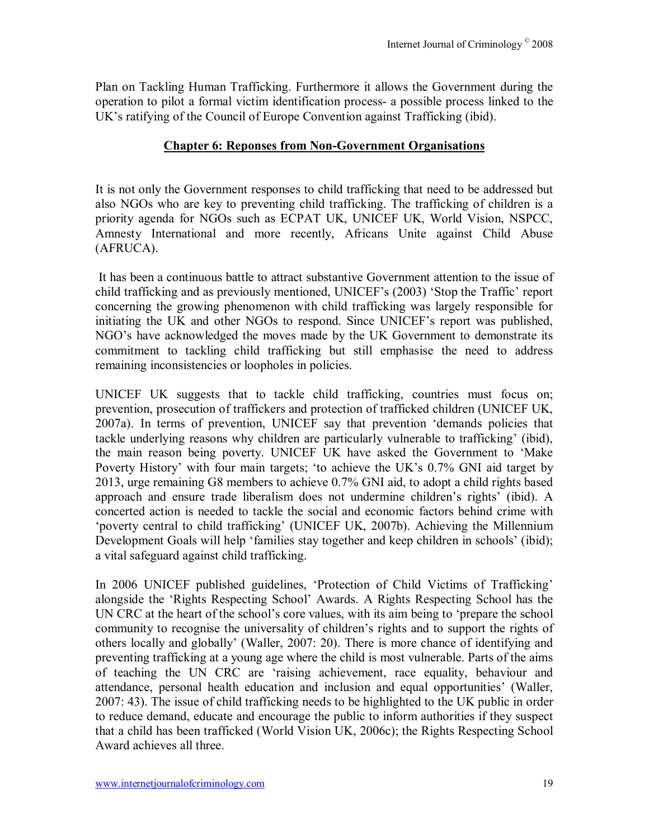Plan on Tackling Human Trafficking. Furthermore it allows the Government during the operation to pilot a formal victim identification process- a possible process linked to the UK's ratifying of the Council of Europe Convention against Trafficking (ibid).

## **Chapter 6: Reponses from Non-Government Organisations**

It is not only the Government responses to child trafficking that need to be addressed but also NGOs who are key to preventing child trafficking. The trafficking of children is a priority agenda for NGOs such as ECPAT UK, UNICEF UK, World Vision, NSPCC, Amnesty International and more recently, Africans Unite against Child Abuse (AFRUCA).

 It has been a continuous battle to attract substantive Government attention to the issue of child trafficking and as previously mentioned, UNICEF's (2003) 'Stop the Traffic' report concerning the growing phenomenon with child trafficking was largely responsible for initiating the UK and other NGOs to respond. Since UNICEF's report was published, NGO's have acknowledged the moves made by the UK Government to demonstrate its commitment to tackling child trafficking but still emphasise the need to address remaining inconsistencies or loopholes in policies.

UNICEF UK suggests that to tackle child trafficking, countries must focus on; prevention, prosecution of traffickers and protection of trafficked children (UNICEF UK, 2007a). In terms of prevention, UNICEF say that prevention ëdemands policies that tackle underlying reasons why children are particularly vulnerable to trafficking' (ibid), the main reason being poverty. UNICEF UK have asked the Government to 'Make Poverty History' with four main targets; 'to achieve the UK's 0.7% GNI aid target by 2013, urge remaining G8 members to achieve 0.7% GNI aid, to adopt a child rights based approach and ensure trade liberalism does not undermine children's rights' (ibid). A concerted action is needed to tackle the social and economic factors behind crime with 'poverty central to child trafficking' (UNICEF UK, 2007b). Achieving the Millennium Development Goals will help 'families stay together and keep children in schools' (ibid); a vital safeguard against child trafficking.

In 2006 UNICEF published guidelines, 'Protection of Child Victims of Trafficking' alongside the ëRights Respecting Schoolí Awards. A Rights Respecting School has the UN CRC at the heart of the school's core values, with its aim being to 'prepare the school community to recognise the universality of children's rights and to support the rights of others locally and globally' (Waller, 2007: 20). There is more chance of identifying and preventing trafficking at a young age where the child is most vulnerable. Parts of the aims of teaching the UN CRC are ëraising achievement, race equality, behaviour and attendance, personal health education and inclusion and equal opportunities<sup>'</sup> (Waller, 2007: 43). The issue of child trafficking needs to be highlighted to the UK public in order to reduce demand, educate and encourage the public to inform authorities if they suspect that a child has been trafficked (World Vision UK, 2006c); the Rights Respecting School Award achieves all three.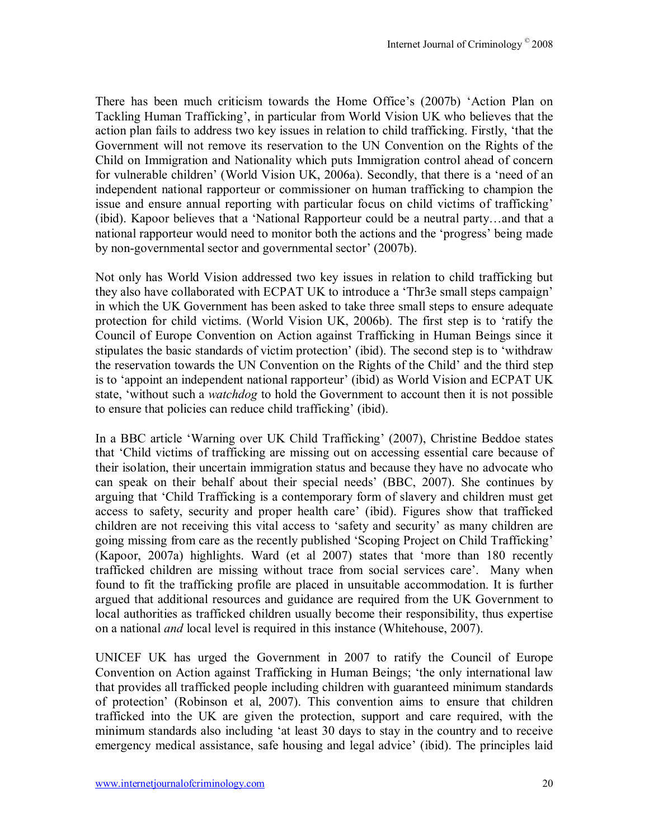There has been much criticism towards the Home Office's (2007b) 'Action Plan on Tackling Human Trafficking', in particular from World Vision UK who believes that the action plan fails to address two key issues in relation to child trafficking. Firstly, ëthat the Government will not remove its reservation to the UN Convention on the Rights of the Child on Immigration and Nationality which puts Immigration control ahead of concern for vulnerable children' (World Vision UK, 2006a). Secondly, that there is a 'need of an independent national rapporteur or commissioner on human trafficking to champion the issue and ensure annual reporting with particular focus on child victims of trafficking' (ibid). Kapoor believes that a 'National Rapporteur could be a neutral party...and that a national rapporteur would need to monitor both the actions and the 'progress' being made by non-governmental sector and governmental sector' (2007b).

Not only has World Vision addressed two key issues in relation to child trafficking but they also have collaborated with ECPAT UK to introduce a 'Thr3e small steps campaign' in which the UK Government has been asked to take three small steps to ensure adequate protection for child victims. (World Vision UK, 2006b). The first step is to ëratify the Council of Europe Convention on Action against Trafficking in Human Beings since it stipulates the basic standards of victim protection' (ibid). The second step is to 'withdraw the reservation towards the UN Convention on the Rights of the Child' and the third step is to 'appoint an independent national rapporteur' (ibid) as World Vision and ECPAT UK state, ëwithout such a *watchdog* to hold the Government to account then it is not possible to ensure that policies can reduce child trafficking' (ibid).

In a BBC article 'Warning over UK Child Trafficking' (2007), Christine Beddoe states that ëChild victims of trafficking are missing out on accessing essential care because of their isolation, their uncertain immigration status and because they have no advocate who can speak on their behalf about their special needs' (BBC, 2007). She continues by arguing that ëChild Trafficking is a contemporary form of slavery and children must get access to safety, security and proper health care' (ibid). Figures show that trafficked children are not receiving this vital access to 'safety and security' as many children are going missing from care as the recently published 'Scoping Project on Child Trafficking' (Kapoor, 2007a) highlights. Ward (et al 2007) states that 'more than 180 recently trafficked children are missing without trace from social services care'. Many when found to fit the trafficking profile are placed in unsuitable accommodation. It is further argued that additional resources and guidance are required from the UK Government to local authorities as trafficked children usually become their responsibility, thus expertise on a national *and* local level is required in this instance (Whitehouse, 2007).

UNICEF UK has urged the Government in 2007 to ratify the Council of Europe Convention on Action against Trafficking in Human Beings; ëthe only international law that provides all trafficked people including children with guaranteed minimum standards of protectioní (Robinson et al, 2007). This convention aims to ensure that children trafficked into the UK are given the protection, support and care required, with the minimum standards also including ëat least 30 days to stay in the country and to receive emergency medical assistance, safe housing and legal advice' (ibid). The principles laid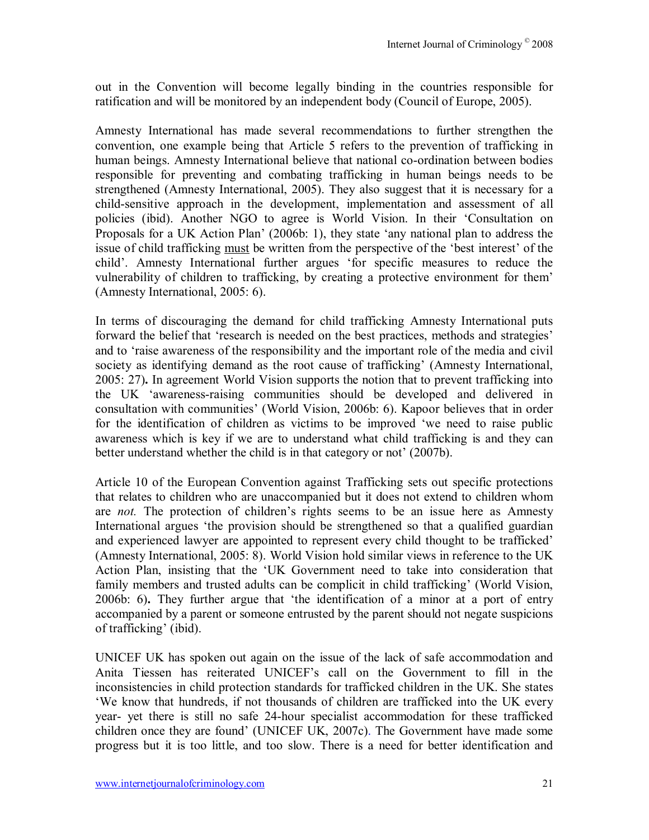out in the Convention will become legally binding in the countries responsible for ratification and will be monitored by an independent body (Council of Europe, 2005).

Amnesty International has made several recommendations to further strengthen the convention, one example being that Article 5 refers to the prevention of trafficking in human beings. Amnesty International believe that national co-ordination between bodies responsible for preventing and combating trafficking in human beings needs to be strengthened (Amnesty International, 2005). They also suggest that it is necessary for a child-sensitive approach in the development, implementation and assessment of all policies (ibid). Another NGO to agree is World Vision. In their 'Consultation on Proposals for a UK Action Plan' (2006b: 1), they state 'any national plan to address the issue of child trafficking must be written from the perspective of the 'best interest' of the child'. Amnesty International further argues 'for specific measures to reduce the vulnerability of children to trafficking, by creating a protective environment for them<sup>3</sup> (Amnesty International, 2005: 6).

In terms of discouraging the demand for child trafficking Amnesty International puts forward the belief that 'research is needed on the best practices, methods and strategies' and to ëraise awareness of the responsibility and the important role of the media and civil society as identifying demand as the root cause of trafficking' (Amnesty International, 2005: 27)**.** In agreement World Vision supports the notion that to prevent trafficking into the UK ëawareness-raising communities should be developed and delivered in consultation with communities' (World Vision, 2006b: 6). Kapoor believes that in order for the identification of children as victims to be improved 'we need to raise public awareness which is key if we are to understand what child trafficking is and they can better understand whether the child is in that category or not  $(2007b)$ .

Article 10 of the European Convention against Trafficking sets out specific protections that relates to children who are unaccompanied but it does not extend to children whom are *not*. The protection of children's rights seems to be an issue here as Amnesty International argues 'the provision should be strengthened so that a qualified guardian and experienced lawyer are appointed to represent every child thought to be trafficked (Amnesty International, 2005: 8). World Vision hold similar views in reference to the UK Action Plan, insisting that the ëUK Government need to take into consideration that family members and trusted adults can be complicit in child trafficking' (World Vision, 2006b: 6). They further argue that 'the identification of a minor at a port of entry accompanied by a parent or someone entrusted by the parent should not negate suspicions of trafficking' (ibid).

UNICEF UK has spoken out again on the issue of the lack of safe accommodation and Anita Tiessen has reiterated UNICEFís call on the Government to fill in the inconsistencies in child protection standards for trafficked children in the UK. She states ëWe know that hundreds, if not thousands of children are trafficked into the UK every year- yet there is still no safe 24-hour specialist accommodation for these trafficked children once they are found' (UNICEF UK,  $2007c$ ). The Government have made some progress but it is too little, and too slow. There is a need for better identification and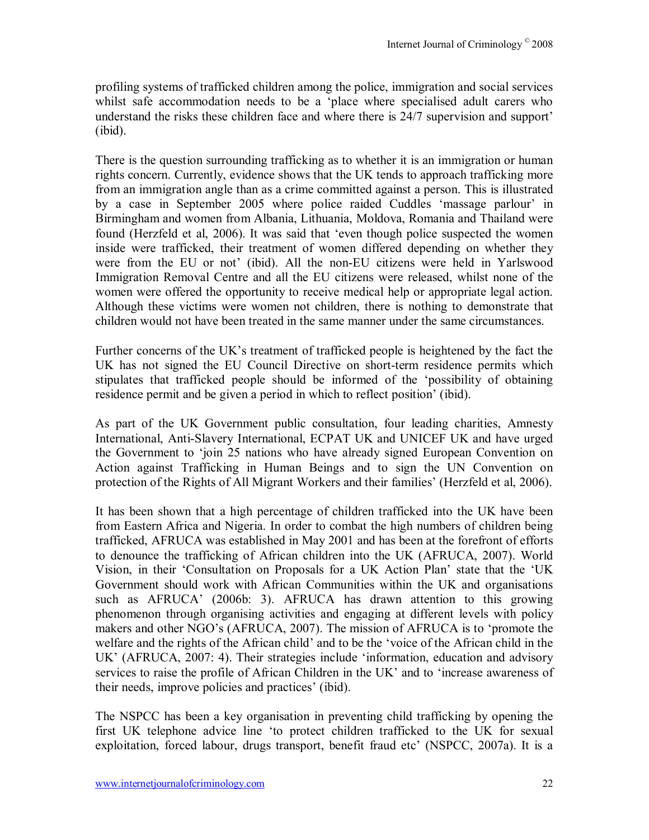profiling systems of trafficked children among the police, immigration and social services whilst safe accommodation needs to be a ëplace where specialised adult carers who understand the risks these children face and where there is 24/7 supervision and support<sup>7</sup> (ibid).

There is the question surrounding trafficking as to whether it is an immigration or human rights concern. Currently, evidence shows that the UK tends to approach trafficking more from an immigration angle than as a crime committed against a person. This is illustrated by a case in September 2005 where police raided Cuddles 'massage parlour' in Birmingham and women from Albania, Lithuania, Moldova, Romania and Thailand were found (Herzfeld et al, 2006). It was said that ëeven though police suspected the women inside were trafficked, their treatment of women differed depending on whether they were from the EU or not' (ibid). All the non-EU citizens were held in Yarlswood Immigration Removal Centre and all the EU citizens were released, whilst none of the women were offered the opportunity to receive medical help or appropriate legal action. Although these victims were women not children, there is nothing to demonstrate that children would not have been treated in the same manner under the same circumstances.

Further concerns of the UK's treatment of trafficked people is heightened by the fact the UK has not signed the EU Council Directive on short-term residence permits which stipulates that trafficked people should be informed of the ëpossibility of obtaining residence permit and be given a period in which to reflect position' (ibid).

As part of the UK Government public consultation, four leading charities, Amnesty International, Anti-Slavery International, ECPAT UK and UNICEF UK and have urged the Government to 'join 25 nations who have already signed European Convention on Action against Trafficking in Human Beings and to sign the UN Convention on protection of the Rights of All Migrant Workers and their families' (Herzfeld et al, 2006).

It has been shown that a high percentage of children trafficked into the UK have been from Eastern Africa and Nigeria. In order to combat the high numbers of children being trafficked, AFRUCA was established in May 2001 and has been at the forefront of efforts to denounce the trafficking of African children into the UK (AFRUCA, 2007). World Vision, in their 'Consultation on Proposals for a UK Action Plan' state that the 'UK Government should work with African Communities within the UK and organisations such as AFRUCA<sup>'</sup> (2006b: 3). AFRUCA has drawn attention to this growing phenomenon through organising activities and engaging at different levels with policy makers and other NGO's (AFRUCA, 2007). The mission of AFRUCA is to 'promote the welfare and the rights of the African child' and to be the 'voice of the African child in the UK<sup> $\cdot$ </sup> (AFRUCA, 2007: 4). Their strategies include 'information, education and advisory services to raise the profile of African Children in the UK' and to 'increase awareness of their needs, improve policies and practices' (ibid).

The NSPCC has been a key organisation in preventing child trafficking by opening the first UK telephone advice line ëto protect children trafficked to the UK for sexual exploitation, forced labour, drugs transport, benefit fraud etc' (NSPCC, 2007a). It is a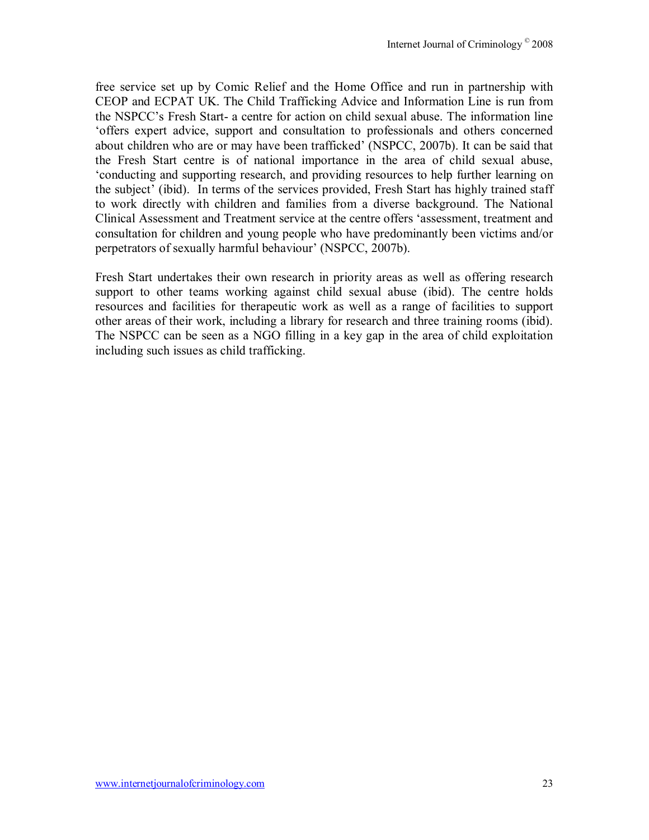free service set up by Comic Relief and the Home Office and run in partnership with CEOP and ECPAT UK. The Child Trafficking Advice and Information Line is run from the NSPCC's Fresh Start- a centre for action on child sexual abuse. The information line ëoffers expert advice, support and consultation to professionals and others concerned about children who are or may have been trafficked' (NSPCC, 2007b). It can be said that the Fresh Start centre is of national importance in the area of child sexual abuse, ëconducting and supporting research, and providing resources to help further learning on the subject' (ibid). In terms of the services provided, Fresh Start has highly trained staff to work directly with children and families from a diverse background. The National Clinical Assessment and Treatment service at the centre offers ëassessment, treatment and consultation for children and young people who have predominantly been victims and/or perpetrators of sexually harmful behaviour' (NSPCC, 2007b).

Fresh Start undertakes their own research in priority areas as well as offering research support to other teams working against child sexual abuse (ibid). The centre holds resources and facilities for therapeutic work as well as a range of facilities to support other areas of their work, including a library for research and three training rooms (ibid). The NSPCC can be seen as a NGO filling in a key gap in the area of child exploitation including such issues as child trafficking.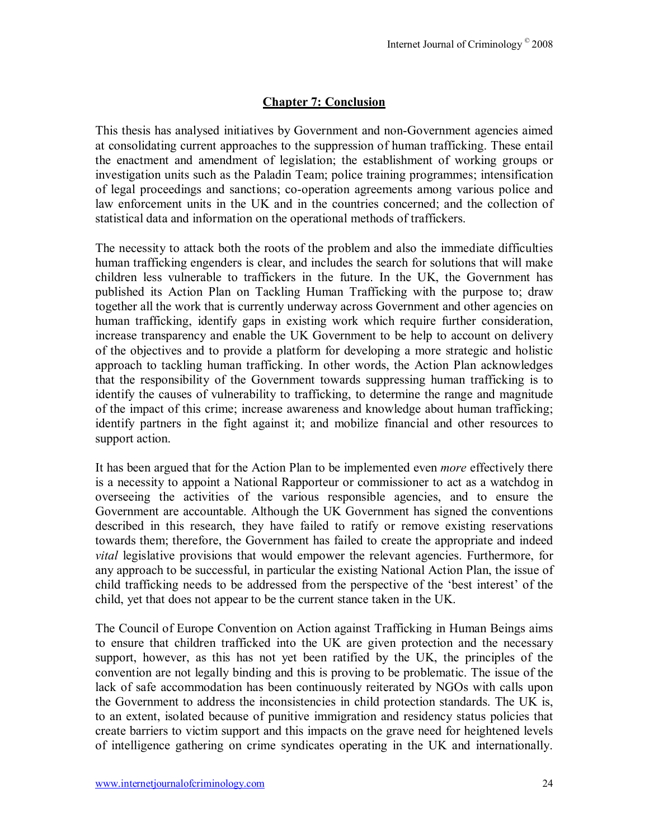# **Chapter 7: Conclusion**

This thesis has analysed initiatives by Government and non-Government agencies aimed at consolidating current approaches to the suppression of human trafficking. These entail the enactment and amendment of legislation; the establishment of working groups or investigation units such as the Paladin Team; police training programmes; intensification of legal proceedings and sanctions; co-operation agreements among various police and law enforcement units in the UK and in the countries concerned; and the collection of statistical data and information on the operational methods of traffickers.

The necessity to attack both the roots of the problem and also the immediate difficulties human trafficking engenders is clear, and includes the search for solutions that will make children less vulnerable to traffickers in the future. In the UK, the Government has published its Action Plan on Tackling Human Trafficking with the purpose to; draw together all the work that is currently underway across Government and other agencies on human trafficking, identify gaps in existing work which require further consideration, increase transparency and enable the UK Government to be help to account on delivery of the objectives and to provide a platform for developing a more strategic and holistic approach to tackling human trafficking. In other words, the Action Plan acknowledges that the responsibility of the Government towards suppressing human trafficking is to identify the causes of vulnerability to trafficking, to determine the range and magnitude of the impact of this crime; increase awareness and knowledge about human trafficking; identify partners in the fight against it; and mobilize financial and other resources to support action.

It has been argued that for the Action Plan to be implemented even *more* effectively there is a necessity to appoint a National Rapporteur or commissioner to act as a watchdog in overseeing the activities of the various responsible agencies, and to ensure the Government are accountable. Although the UK Government has signed the conventions described in this research, they have failed to ratify or remove existing reservations towards them; therefore, the Government has failed to create the appropriate and indeed *vital* legislative provisions that would empower the relevant agencies. Furthermore, for any approach to be successful, in particular the existing National Action Plan, the issue of child trafficking needs to be addressed from the perspective of the 'best interest' of the child, yet that does not appear to be the current stance taken in the UK.

The Council of Europe Convention on Action against Trafficking in Human Beings aims to ensure that children trafficked into the UK are given protection and the necessary support, however, as this has not yet been ratified by the UK, the principles of the convention are not legally binding and this is proving to be problematic. The issue of the lack of safe accommodation has been continuously reiterated by NGOs with calls upon the Government to address the inconsistencies in child protection standards. The UK is, to an extent, isolated because of punitive immigration and residency status policies that create barriers to victim support and this impacts on the grave need for heightened levels of intelligence gathering on crime syndicates operating in the UK and internationally.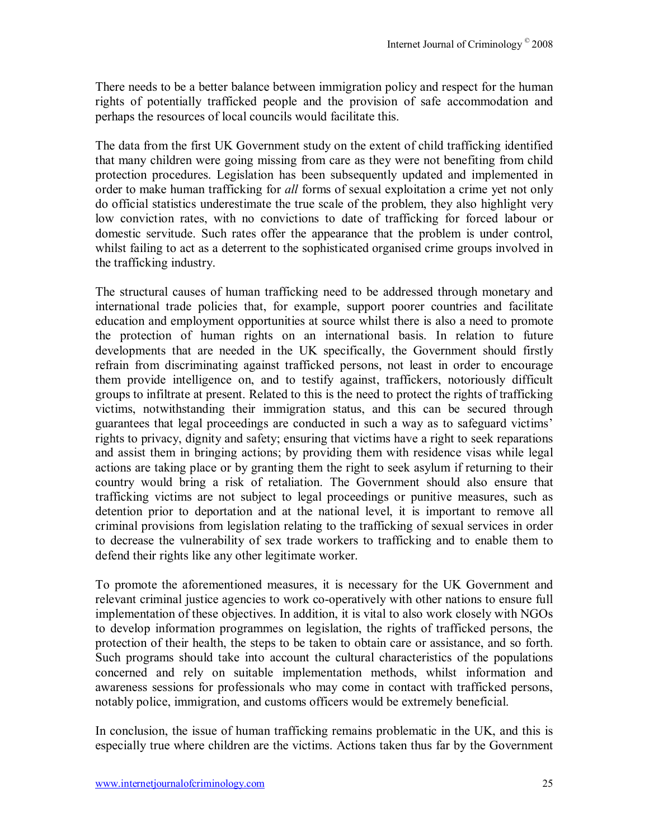There needs to be a better balance between immigration policy and respect for the human rights of potentially trafficked people and the provision of safe accommodation and perhaps the resources of local councils would facilitate this.

The data from the first UK Government study on the extent of child trafficking identified that many children were going missing from care as they were not benefiting from child protection procedures. Legislation has been subsequently updated and implemented in order to make human trafficking for *all* forms of sexual exploitation a crime yet not only do official statistics underestimate the true scale of the problem, they also highlight very low conviction rates, with no convictions to date of trafficking for forced labour or domestic servitude. Such rates offer the appearance that the problem is under control, whilst failing to act as a deterrent to the sophisticated organised crime groups involved in the trafficking industry.

The structural causes of human trafficking need to be addressed through monetary and international trade policies that, for example, support poorer countries and facilitate education and employment opportunities at source whilst there is also a need to promote the protection of human rights on an international basis. In relation to future developments that are needed in the UK specifically, the Government should firstly refrain from discriminating against trafficked persons, not least in order to encourage them provide intelligence on, and to testify against, traffickers, notoriously difficult groups to infiltrate at present. Related to this is the need to protect the rights of trafficking victims, notwithstanding their immigration status, and this can be secured through guarantees that legal proceedings are conducted in such a way as to safeguard victims' rights to privacy, dignity and safety; ensuring that victims have a right to seek reparations and assist them in bringing actions; by providing them with residence visas while legal actions are taking place or by granting them the right to seek asylum if returning to their country would bring a risk of retaliation. The Government should also ensure that trafficking victims are not subject to legal proceedings or punitive measures, such as detention prior to deportation and at the national level, it is important to remove all criminal provisions from legislation relating to the trafficking of sexual services in order to decrease the vulnerability of sex trade workers to trafficking and to enable them to defend their rights like any other legitimate worker.

To promote the aforementioned measures, it is necessary for the UK Government and relevant criminal justice agencies to work co-operatively with other nations to ensure full implementation of these objectives. In addition, it is vital to also work closely with NGOs to develop information programmes on legislation, the rights of trafficked persons, the protection of their health, the steps to be taken to obtain care or assistance, and so forth. Such programs should take into account the cultural characteristics of the populations concerned and rely on suitable implementation methods, whilst information and awareness sessions for professionals who may come in contact with trafficked persons, notably police, immigration, and customs officers would be extremely beneficial.

In conclusion, the issue of human trafficking remains problematic in the UK, and this is especially true where children are the victims. Actions taken thus far by the Government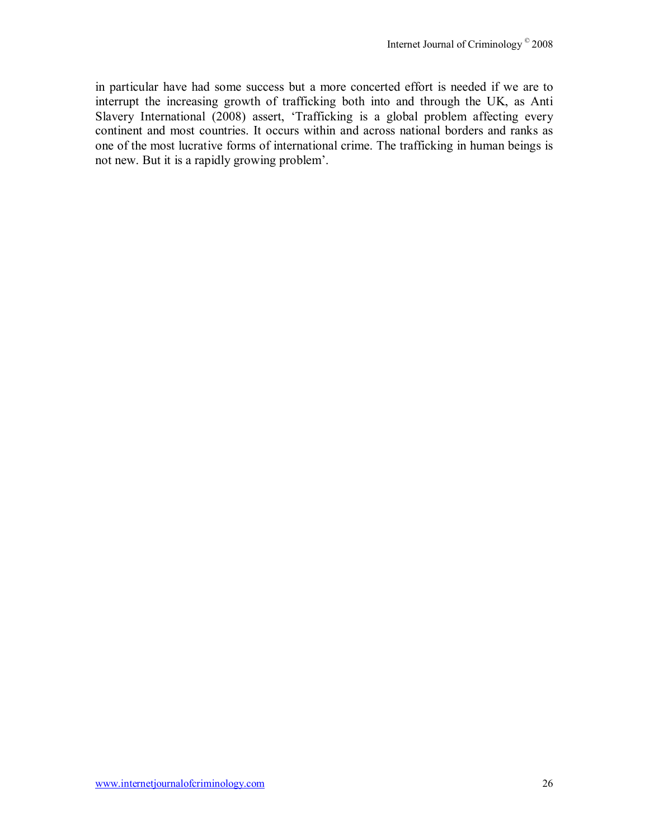in particular have had some success but a more concerted effort is needed if we are to interrupt the increasing growth of trafficking both into and through the UK, as Anti Slavery International (2008) assert, 'Trafficking is a global problem affecting every continent and most countries. It occurs within and across national borders and ranks as one of the most lucrative forms of international crime. The trafficking in human beings is not new. But it is a rapidly growing problem<sup>'</sup>.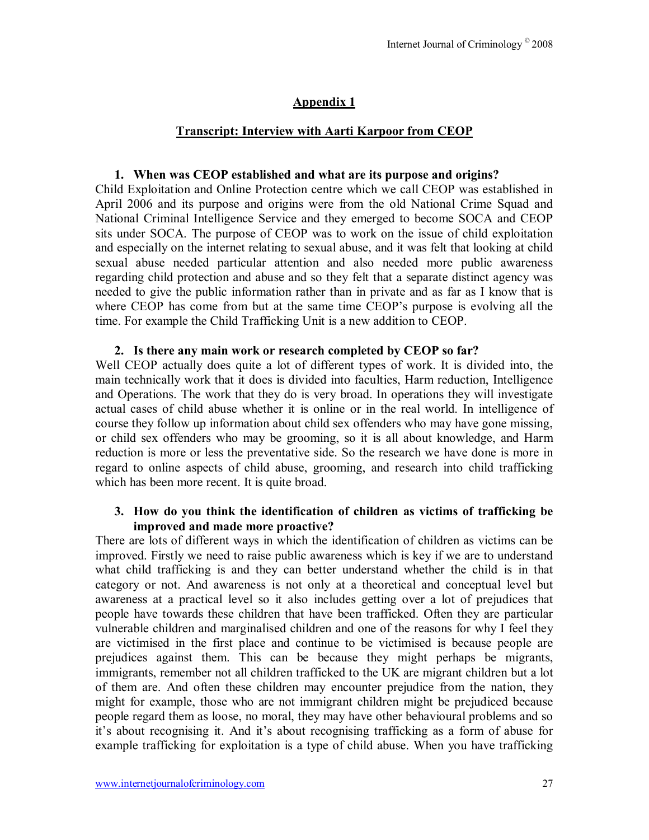# **Appendix 1**

# **Transcript: Interview with Aarti Karpoor from CEOP**

#### **1. When was CEOP established and what are its purpose and origins?**

Child Exploitation and Online Protection centre which we call CEOP was established in April 2006 and its purpose and origins were from the old National Crime Squad and National Criminal Intelligence Service and they emerged to become SOCA and CEOP sits under SOCA. The purpose of CEOP was to work on the issue of child exploitation and especially on the internet relating to sexual abuse, and it was felt that looking at child sexual abuse needed particular attention and also needed more public awareness regarding child protection and abuse and so they felt that a separate distinct agency was needed to give the public information rather than in private and as far as I know that is where CEOP has come from but at the same time CEOP's purpose is evolving all the time. For example the Child Trafficking Unit is a new addition to CEOP.

#### **2. Is there any main work or research completed by CEOP so far?**

Well CEOP actually does quite a lot of different types of work. It is divided into, the main technically work that it does is divided into faculties, Harm reduction, Intelligence and Operations. The work that they do is very broad. In operations they will investigate actual cases of child abuse whether it is online or in the real world. In intelligence of course they follow up information about child sex offenders who may have gone missing, or child sex offenders who may be grooming, so it is all about knowledge, and Harm reduction is more or less the preventative side. So the research we have done is more in regard to online aspects of child abuse, grooming, and research into child trafficking which has been more recent. It is quite broad.

#### **3. How do you think the identification of children as victims of trafficking be improved and made more proactive?**

There are lots of different ways in which the identification of children as victims can be improved. Firstly we need to raise public awareness which is key if we are to understand what child trafficking is and they can better understand whether the child is in that category or not. And awareness is not only at a theoretical and conceptual level but awareness at a practical level so it also includes getting over a lot of prejudices that people have towards these children that have been trafficked. Often they are particular vulnerable children and marginalised children and one of the reasons for why I feel they are victimised in the first place and continue to be victimised is because people are prejudices against them. This can be because they might perhaps be migrants, immigrants, remember not all children trafficked to the UK are migrant children but a lot of them are. And often these children may encounter prejudice from the nation, they might for example, those who are not immigrant children might be prejudiced because people regard them as loose, no moral, they may have other behavioural problems and so it's about recognising it. And it's about recognising trafficking as a form of abuse for example trafficking for exploitation is a type of child abuse. When you have trafficking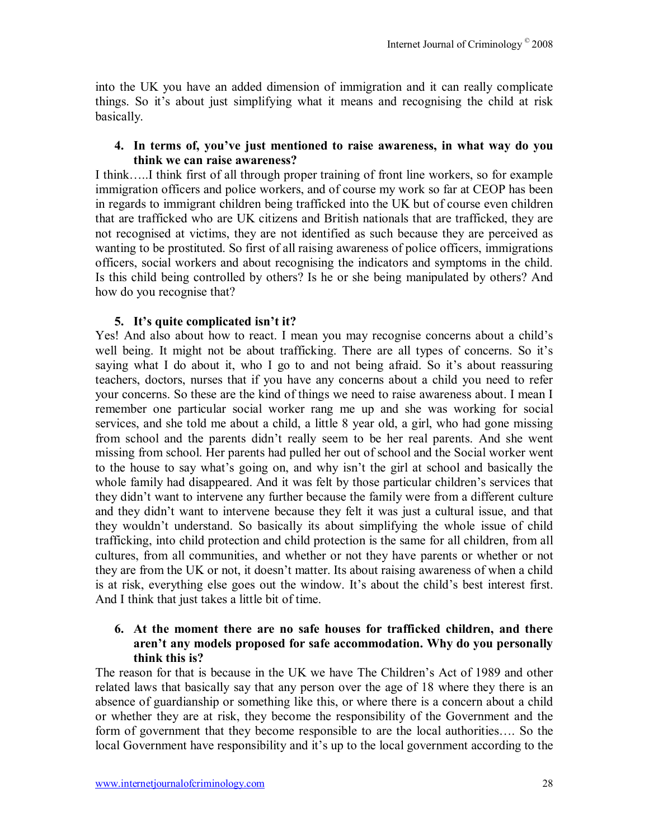into the UK you have an added dimension of immigration and it can really complicate things. So it's about just simplifying what it means and recognising the child at risk basically.

#### **4. In terms of, youíve just mentioned to raise awareness, in what way do you think we can raise awareness?**

I think.....I think first of all through proper training of front line workers, so for example immigration officers and police workers, and of course my work so far at CEOP has been in regards to immigrant children being trafficked into the UK but of course even children that are trafficked who are UK citizens and British nationals that are trafficked, they are not recognised at victims, they are not identified as such because they are perceived as wanting to be prostituted. So first of all raising awareness of police officers, immigrations officers, social workers and about recognising the indicators and symptoms in the child. Is this child being controlled by others? Is he or she being manipulated by others? And how do you recognise that?

#### **5.** It's quite complicated isn't it?

Yes! And also about how to react. I mean you may recognise concerns about a child's well being. It might not be about trafficking. There are all types of concerns. So it's saying what I do about it, who I go to and not being afraid. So it's about reassuring teachers, doctors, nurses that if you have any concerns about a child you need to refer your concerns. So these are the kind of things we need to raise awareness about. I mean I remember one particular social worker rang me up and she was working for social services, and she told me about a child, a little 8 year old, a girl, who had gone missing from school and the parents didn't really seem to be her real parents. And she went missing from school. Her parents had pulled her out of school and the Social worker went to the house to say what's going on, and why isn't the girl at school and basically the whole family had disappeared. And it was felt by those particular children's services that they didn't want to intervene any further because the family were from a different culture and they didn't want to intervene because they felt it was just a cultural issue, and that they wouldn't understand. So basically its about simplifying the whole issue of child trafficking, into child protection and child protection is the same for all children, from all cultures, from all communities, and whether or not they have parents or whether or not they are from the UK or not, it doesn't matter. Its about raising awareness of when a child is at risk, everything else goes out the window. It's about the child's best interest first. And I think that just takes a little bit of time.

#### **6. At the moment there are no safe houses for trafficked children, and there**  aren't any models proposed for safe accommodation. Why do you personally **think this is?**

The reason for that is because in the UK we have The Children's Act of 1989 and other related laws that basically say that any person over the age of 18 where they there is an absence of guardianship or something like this, or where there is a concern about a child or whether they are at risk, they become the responsibility of the Government and the form of government that they become responsible to are the local authorities.... So the local Government have responsibility and it's up to the local government according to the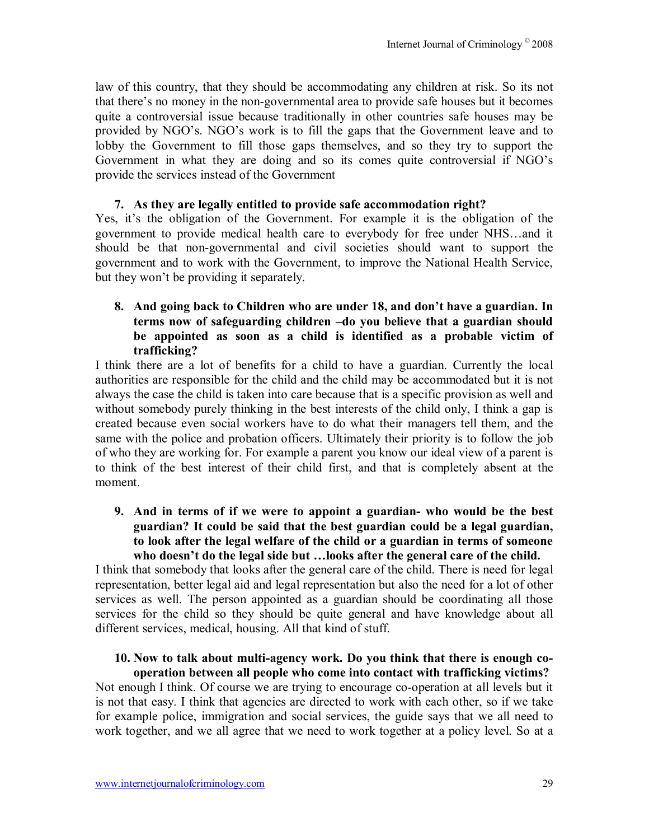law of this country, that they should be accommodating any children at risk. So its not that there's no money in the non-governmental area to provide safe houses but it becomes quite a controversial issue because traditionally in other countries safe houses may be provided by NGO's. NGO's work is to fill the gaps that the Government leave and to lobby the Government to fill those gaps themselves, and so they try to support the Government in what they are doing and so its comes quite controversial if NGO's provide the services instead of the Government

#### **7. As they are legally entitled to provide safe accommodation right?**

Yes, it's the obligation of the Government. For example it is the obligation of the government to provide medical health care to everybody for free under NHS...and it should be that non-governmental and civil societies should want to support the government and to work with the Government, to improve the National Health Service, but they won't be providing it separately.

## **8.** And going back to Children who are under 18, and don't have a guardian. In terms now of safeguarding children -do you believe that a guardian should **be appointed as soon as a child is identified as a probable victim of trafficking?**

I think there are a lot of benefits for a child to have a guardian. Currently the local authorities are responsible for the child and the child may be accommodated but it is not always the case the child is taken into care because that is a specific provision as well and without somebody purely thinking in the best interests of the child only, I think a gap is created because even social workers have to do what their managers tell them, and the same with the police and probation officers. Ultimately their priority is to follow the job of who they are working for. For example a parent you know our ideal view of a parent is to think of the best interest of their child first, and that is completely absent at the moment.

#### **9. And in terms of if we were to appoint a guardian- who would be the best guardian? It could be said that the best guardian could be a legal guardian, to look after the legal welfare of the child or a guardian in terms of someone**  who doesn't do the legal side but ...looks after the general care of the child.

I think that somebody that looks after the general care of the child. There is need for legal representation, better legal aid and legal representation but also the need for a lot of other services as well. The person appointed as a guardian should be coordinating all those services for the child so they should be quite general and have knowledge about all different services, medical, housing. All that kind of stuff.

#### **10. Now to talk about multi-agency work. Do you think that there is enough cooperation between all people who come into contact with trafficking victims?**

Not enough I think. Of course we are trying to encourage co-operation at all levels but it is not that easy. I think that agencies are directed to work with each other, so if we take for example police, immigration and social services, the guide says that we all need to work together, and we all agree that we need to work together at a policy level. So at a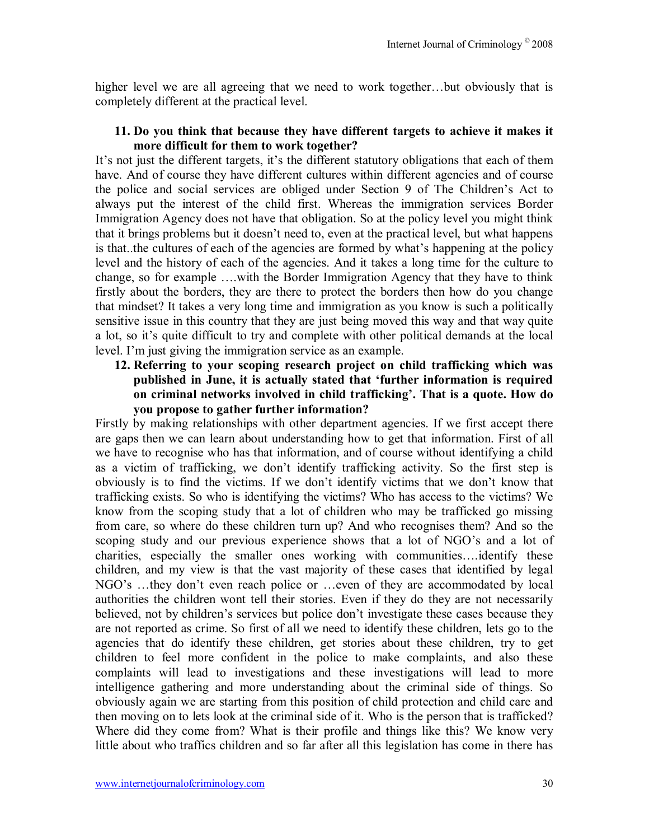higher level we are all agreeing that we need to work together...but obviously that is completely different at the practical level.

#### **11. Do you think that because they have different targets to achieve it makes it more difficult for them to work together?**

It's not just the different targets, it's the different statutory obligations that each of them have. And of course they have different cultures within different agencies and of course the police and social services are obliged under Section 9 of The Children's Act to always put the interest of the child first. Whereas the immigration services Border Immigration Agency does not have that obligation. So at the policy level you might think that it brings problems but it doesn't need to, even at the practical level, but what happens is that..the cultures of each of the agencies are formed by what's happening at the policy level and the history of each of the agencies. And it takes a long time for the culture to change, so for example  $\dots$  with the Border Immigration Agency that they have to think firstly about the borders, they are there to protect the borders then how do you change that mindset? It takes a very long time and immigration as you know is such a politically sensitive issue in this country that they are just being moved this way and that way quite a lot, so it's quite difficult to try and complete with other political demands at the local level. I'm just giving the immigration service as an example.

**12. Referring to your scoping research project on child trafficking which was published in June, it is actually stated that ëfurther information is required**  on criminal networks involved in child trafficking'. That is a quote. How do **you propose to gather further information?** 

Firstly by making relationships with other department agencies. If we first accept there are gaps then we can learn about understanding how to get that information. First of all we have to recognise who has that information, and of course without identifying a child as a victim of trafficking, we don't identify trafficking activity. So the first step is obviously is to find the victims. If we don't identify victims that we don't know that trafficking exists. So who is identifying the victims? Who has access to the victims? We know from the scoping study that a lot of children who may be trafficked go missing from care, so where do these children turn up? And who recognises them? And so the scoping study and our previous experience shows that a lot of NGO's and a lot of charities, especially the smaller ones working with communities.... identify these children, and my view is that the vast majority of these cases that identified by legal NGO's ...they don't even reach police or ...even of they are accommodated by local authorities the children wont tell their stories. Even if they do they are not necessarily believed, not by children's services but police don't investigate these cases because they are not reported as crime. So first of all we need to identify these children, lets go to the agencies that do identify these children, get stories about these children, try to get children to feel more confident in the police to make complaints, and also these complaints will lead to investigations and these investigations will lead to more intelligence gathering and more understanding about the criminal side of things. So obviously again we are starting from this position of child protection and child care and then moving on to lets look at the criminal side of it. Who is the person that is trafficked? Where did they come from? What is their profile and things like this? We know very little about who traffics children and so far after all this legislation has come in there has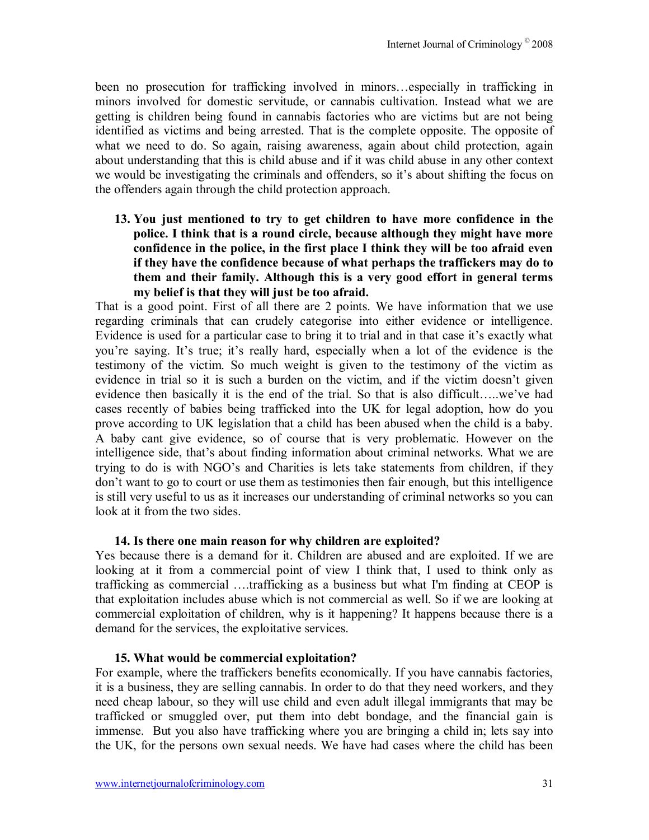been no prosecution for trafficking involved in minors...especially in trafficking in minors involved for domestic servitude, or cannabis cultivation. Instead what we are getting is children being found in cannabis factories who are victims but are not being identified as victims and being arrested. That is the complete opposite. The opposite of what we need to do. So again, raising awareness, again about child protection, again about understanding that this is child abuse and if it was child abuse in any other context we would be investigating the criminals and offenders, so it's about shifting the focus on the offenders again through the child protection approach.

**13. You just mentioned to try to get children to have more confidence in the police. I think that is a round circle, because although they might have more confidence in the police, in the first place I think they will be too afraid even if they have the confidence because of what perhaps the traffickers may do to them and their family. Although this is a very good effort in general terms my belief is that they will just be too afraid.** 

That is a good point. First of all there are 2 points. We have information that we use regarding criminals that can crudely categorise into either evidence or intelligence. Evidence is used for a particular case to bring it to trial and in that case it's exactly what you're saying. It's true; it's really hard, especially when a lot of the evidence is the testimony of the victim. So much weight is given to the testimony of the victim as evidence in trial so it is such a burden on the victim, and if the victim doesn't given evidence then basically it is the end of the trial. So that is also difficult....we've had cases recently of babies being trafficked into the UK for legal adoption, how do you prove according to UK legislation that a child has been abused when the child is a baby. A baby cant give evidence, so of course that is very problematic. However on the intelligence side, that's about finding information about criminal networks. What we are trying to do is with NGO's and Charities is lets take statements from children, if they don't want to go to court or use them as testimonies then fair enough, but this intelligence is still very useful to us as it increases our understanding of criminal networks so you can look at it from the two sides.

#### **14. Is there one main reason for why children are exploited?**

Yes because there is a demand for it. Children are abused and are exploited. If we are looking at it from a commercial point of view I think that, I used to think only as trafficking as commercial ....trafficking as a business but what I'm finding at CEOP is that exploitation includes abuse which is not commercial as well. So if we are looking at commercial exploitation of children, why is it happening? It happens because there is a demand for the services, the exploitative services.

#### **15. What would be commercial exploitation?**

For example, where the traffickers benefits economically. If you have cannabis factories, it is a business, they are selling cannabis. In order to do that they need workers, and they need cheap labour, so they will use child and even adult illegal immigrants that may be trafficked or smuggled over, put them into debt bondage, and the financial gain is immense. But you also have trafficking where you are bringing a child in; lets say into the UK, for the persons own sexual needs. We have had cases where the child has been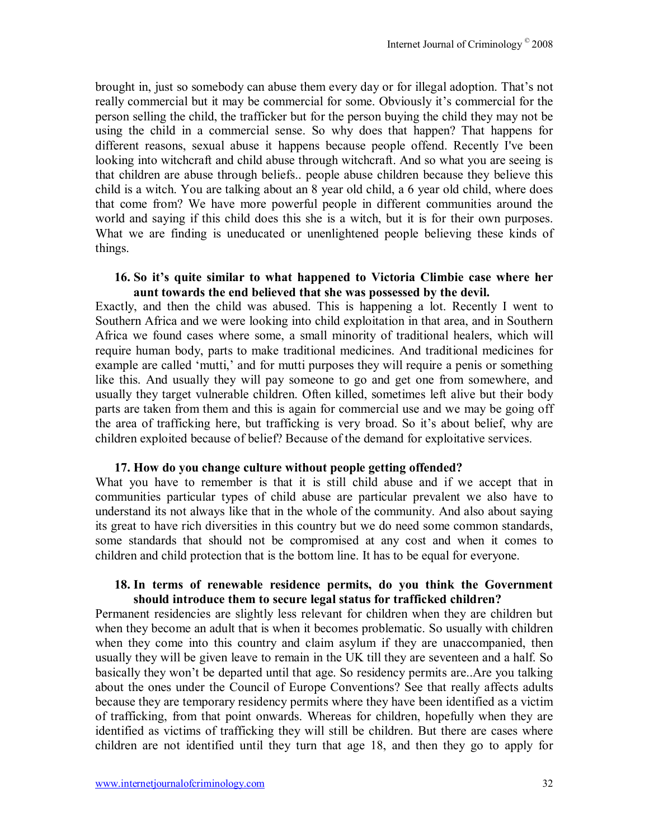brought in, just so somebody can abuse them every day or for illegal adoption. That's not really commercial but it may be commercial for some. Obviously it's commercial for the person selling the child, the trafficker but for the person buying the child they may not be using the child in a commercial sense. So why does that happen? That happens for different reasons, sexual abuse it happens because people offend. Recently I've been looking into witchcraft and child abuse through witchcraft. And so what you are seeing is that children are abuse through beliefs.. people abuse children because they believe this child is a witch. You are talking about an 8 year old child, a 6 year old child, where does that come from? We have more powerful people in different communities around the world and saying if this child does this she is a witch, but it is for their own purposes. What we are finding is uneducated or unenlightened people believing these kinds of things.

#### **16. So itís quite similar to what happened to Victoria Climbie case where her aunt towards the end believed that she was possessed by the devil.**

Exactly, and then the child was abused. This is happening a lot. Recently I went to Southern Africa and we were looking into child exploitation in that area, and in Southern Africa we found cases where some, a small minority of traditional healers, which will require human body, parts to make traditional medicines. And traditional medicines for example are called 'mutti,' and for mutti purposes they will require a penis or something like this. And usually they will pay someone to go and get one from somewhere, and usually they target vulnerable children. Often killed, sometimes left alive but their body parts are taken from them and this is again for commercial use and we may be going off the area of trafficking here, but trafficking is very broad. So it's about belief, why are children exploited because of belief? Because of the demand for exploitative services.

#### **17. How do you change culture without people getting offended?**

What you have to remember is that it is still child abuse and if we accept that in communities particular types of child abuse are particular prevalent we also have to understand its not always like that in the whole of the community. And also about saying its great to have rich diversities in this country but we do need some common standards, some standards that should not be compromised at any cost and when it comes to children and child protection that is the bottom line. It has to be equal for everyone.

#### **18. In terms of renewable residence permits, do you think the Government should introduce them to secure legal status for trafficked children?**

Permanent residencies are slightly less relevant for children when they are children but when they become an adult that is when it becomes problematic. So usually with children when they come into this country and claim asylum if they are unaccompanied, then usually they will be given leave to remain in the UK till they are seventeen and a half. So basically they won't be departed until that age. So residency permits are..Are you talking about the ones under the Council of Europe Conventions? See that really affects adults because they are temporary residency permits where they have been identified as a victim of trafficking, from that point onwards. Whereas for children, hopefully when they are identified as victims of trafficking they will still be children. But there are cases where children are not identified until they turn that age 18, and then they go to apply for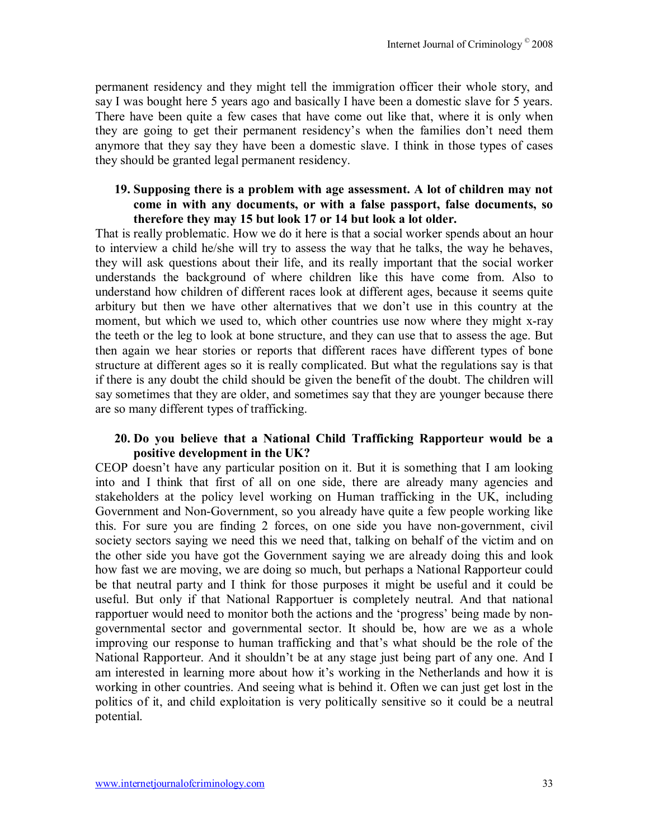permanent residency and they might tell the immigration officer their whole story, and say I was bought here 5 years ago and basically I have been a domestic slave for 5 years. There have been quite a few cases that have come out like that, where it is only when they are going to get their permanent residency's when the families don't need them anymore that they say they have been a domestic slave. I think in those types of cases they should be granted legal permanent residency.

#### **19. Supposing there is a problem with age assessment. A lot of children may not come in with any documents, or with a false passport, false documents, so therefore they may 15 but look 17 or 14 but look a lot older.**

That is really problematic. How we do it here is that a social worker spends about an hour to interview a child he/she will try to assess the way that he talks, the way he behaves, they will ask questions about their life, and its really important that the social worker understands the background of where children like this have come from. Also to understand how children of different races look at different ages, because it seems quite arbitury but then we have other alternatives that we don't use in this country at the moment, but which we used to, which other countries use now where they might x-ray the teeth or the leg to look at bone structure, and they can use that to assess the age. But then again we hear stories or reports that different races have different types of bone structure at different ages so it is really complicated. But what the regulations say is that if there is any doubt the child should be given the benefit of the doubt. The children will say sometimes that they are older, and sometimes say that they are younger because there are so many different types of trafficking.

#### **20. Do you believe that a National Child Trafficking Rapporteur would be a positive development in the UK?**

CEOP doesn't have any particular position on it. But it is something that I am looking into and I think that first of all on one side, there are already many agencies and stakeholders at the policy level working on Human trafficking in the UK, including Government and Non-Government, so you already have quite a few people working like this. For sure you are finding 2 forces, on one side you have non-government, civil society sectors saying we need this we need that, talking on behalf of the victim and on the other side you have got the Government saying we are already doing this and look how fast we are moving, we are doing so much, but perhaps a National Rapporteur could be that neutral party and I think for those purposes it might be useful and it could be useful. But only if that National Rapportuer is completely neutral. And that national rapportuer would need to monitor both the actions and the 'progress' being made by nongovernmental sector and governmental sector. It should be, how are we as a whole improving our response to human trafficking and that's what should be the role of the National Rapporteur. And it shouldn't be at any stage just being part of any one. And I am interested in learning more about how it's working in the Netherlands and how it is working in other countries. And seeing what is behind it. Often we can just get lost in the politics of it, and child exploitation is very politically sensitive so it could be a neutral potential.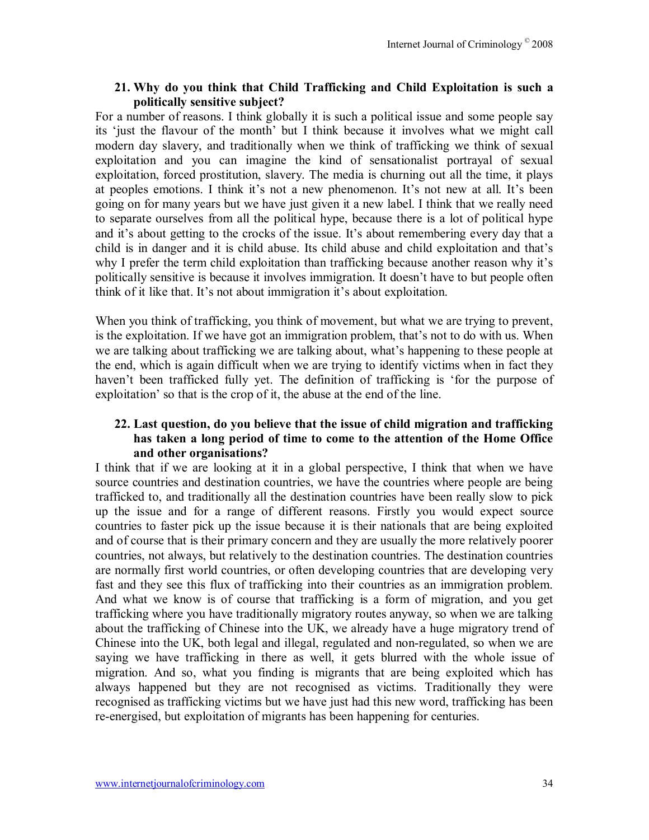#### **21. Why do you think that Child Trafficking and Child Exploitation is such a politically sensitive subject?**

For a number of reasons. I think globally it is such a political issue and some people say its 'just the flavour of the month' but I think because it involves what we might call modern day slavery, and traditionally when we think of trafficking we think of sexual exploitation and you can imagine the kind of sensationalist portrayal of sexual exploitation, forced prostitution, slavery. The media is churning out all the time, it plays at peoples emotions. I think it's not a new phenomenon. It's not new at all. It's been going on for many years but we have just given it a new label. I think that we really need to separate ourselves from all the political hype, because there is a lot of political hype and it's about getting to the crocks of the issue. It's about remembering every day that a child is in danger and it is child abuse. Its child abuse and child exploitation and that's why I prefer the term child exploitation than trafficking because another reason why it's politically sensitive is because it involves immigration. It doesn't have to but people often think of it like that. It's not about immigration it's about exploitation.

When you think of trafficking, you think of movement, but what we are trying to prevent, is the exploitation. If we have got an immigration problem, that's not to do with us. When we are talking about trafficking we are talking about, what's happening to these people at the end, which is again difficult when we are trying to identify victims when in fact they haven't been trafficked fully yet. The definition of trafficking is 'for the purpose of exploitation' so that is the crop of it, the abuse at the end of the line.

#### **22. Last question, do you believe that the issue of child migration and trafficking has taken a long period of time to come to the attention of the Home Office and other organisations?**

I think that if we are looking at it in a global perspective, I think that when we have source countries and destination countries, we have the countries where people are being trafficked to, and traditionally all the destination countries have been really slow to pick up the issue and for a range of different reasons. Firstly you would expect source countries to faster pick up the issue because it is their nationals that are being exploited and of course that is their primary concern and they are usually the more relatively poorer countries, not always, but relatively to the destination countries. The destination countries are normally first world countries, or often developing countries that are developing very fast and they see this flux of trafficking into their countries as an immigration problem. And what we know is of course that trafficking is a form of migration, and you get trafficking where you have traditionally migratory routes anyway, so when we are talking about the trafficking of Chinese into the UK, we already have a huge migratory trend of Chinese into the UK, both legal and illegal, regulated and non-regulated, so when we are saying we have trafficking in there as well, it gets blurred with the whole issue of migration. And so, what you finding is migrants that are being exploited which has always happened but they are not recognised as victims. Traditionally they were recognised as trafficking victims but we have just had this new word, trafficking has been re-energised, but exploitation of migrants has been happening for centuries.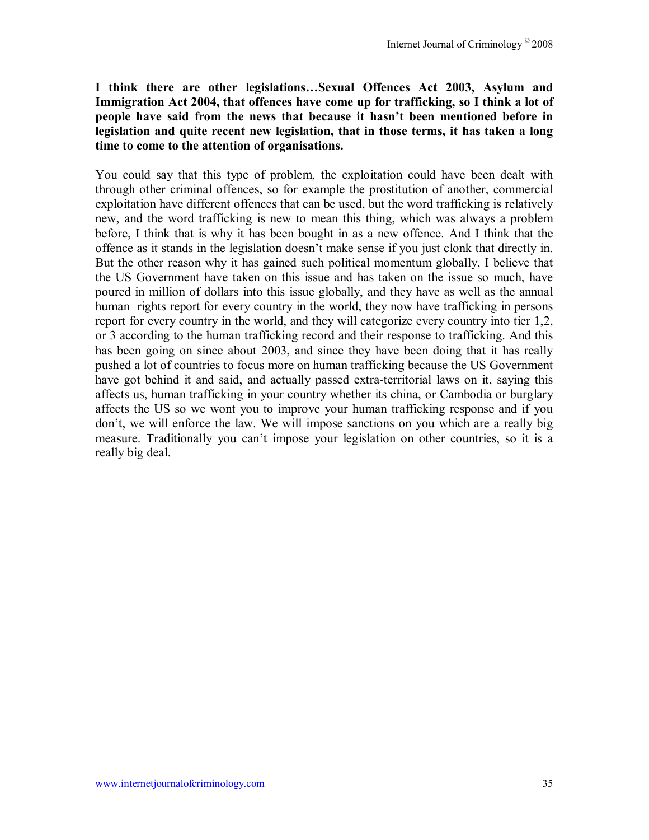I think there are other legislations...Sexual Offences Act 2003, Asylum and **Immigration Act 2004, that offences have come up for trafficking, so I think a lot of**  people have said from the news that because it hasn't been mentioned before in **legislation and quite recent new legislation, that in those terms, it has taken a long time to come to the attention of organisations.** 

You could say that this type of problem, the exploitation could have been dealt with through other criminal offences, so for example the prostitution of another, commercial exploitation have different offences that can be used, but the word trafficking is relatively new, and the word trafficking is new to mean this thing, which was always a problem before, I think that is why it has been bought in as a new offence. And I think that the offence as it stands in the legislation doesnít make sense if you just clonk that directly in. But the other reason why it has gained such political momentum globally, I believe that the US Government have taken on this issue and has taken on the issue so much, have poured in million of dollars into this issue globally, and they have as well as the annual human rights report for every country in the world, they now have trafficking in persons report for every country in the world, and they will categorize every country into tier 1,2, or 3 according to the human trafficking record and their response to trafficking. And this has been going on since about 2003, and since they have been doing that it has really pushed a lot of countries to focus more on human trafficking because the US Government have got behind it and said, and actually passed extra-territorial laws on it, saying this affects us, human trafficking in your country whether its china, or Cambodia or burglary affects the US so we wont you to improve your human trafficking response and if you donít, we will enforce the law. We will impose sanctions on you which are a really big measure. Traditionally you can't impose your legislation on other countries, so it is a really big deal.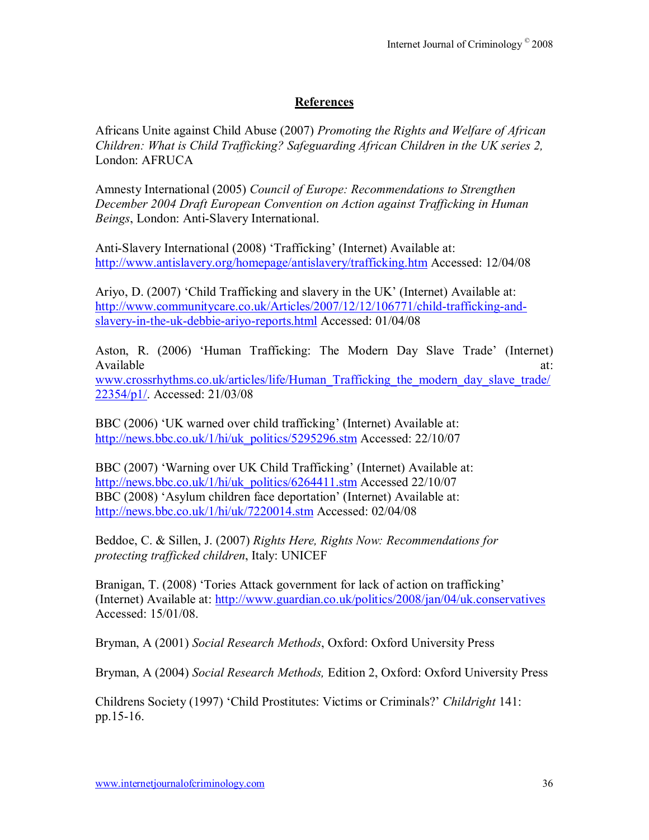# **References**

Africans Unite against Child Abuse (2007) *Promoting the Rights and Welfare of African Children: What is Child Trafficking? Safeguarding African Children in the UK series 2,*  London: AFRUCA

Amnesty International (2005) *Council of Europe: Recommendations to Strengthen December 2004 Draft European Convention on Action against Trafficking in Human Beings*, London: Anti-Slavery International.

Anti-Slavery International (2008) 'Trafficking' (Internet) Available at: http://www.antislavery.org/homepage/antislavery/trafficking.htm Accessed: 12/04/08

Ariyo, D. (2007) 'Child Trafficking and slavery in the UK' (Internet) Available at: http://www.communitycare.co.uk/Articles/2007/12/12/106771/child-trafficking-andslavery-in-the-uk-debbie-ariyo-reports.html Accessed: 01/04/08

Aston, R. (2006) 'Human Trafficking: The Modern Day Slave Trade' (Internet) Available at:  $\alpha$ www.crossrhythms.co.uk/articles/life/Human\_Trafficking\_the\_modern\_day\_slave\_trade/ 22354/p1/. Accessed: 21/03/08

BBC (2006) 'UK warned over child trafficking' (Internet) Available at: http://news.bbc.co.uk/1/hi/uk\_politics/5295296.stm Accessed: 22/10/07

BBC (2007) 'Warning over UK Child Trafficking' (Internet) Available at: http://news.bbc.co.uk/1/hi/uk\_politics/6264411.stm Accessed 22/10/07 BBC (2008) 'Asylum children face deportation' (Internet) Available at: http://news.bbc.co.uk/1/hi/uk/7220014.stm Accessed: 02/04/08

Beddoe, C. & Sillen, J. (2007) *Rights Here, Rights Now: Recommendations for protecting trafficked children*, Italy: UNICEF

Branigan, T. (2008) Tories Attack government for lack of action on trafficking (Internet) Available at: http://www.guardian.co.uk/politics/2008/jan/04/uk.conservatives Accessed: 15/01/08.

Bryman, A (2001) *Social Research Methods*, Oxford: Oxford University Press

Bryman, A (2004) *Social Research Methods,* Edition 2, Oxford: Oxford University Press

Childrens Society (1997) ëChild Prostitutes: Victims or Criminals?í *Childright* 141: pp.15-16.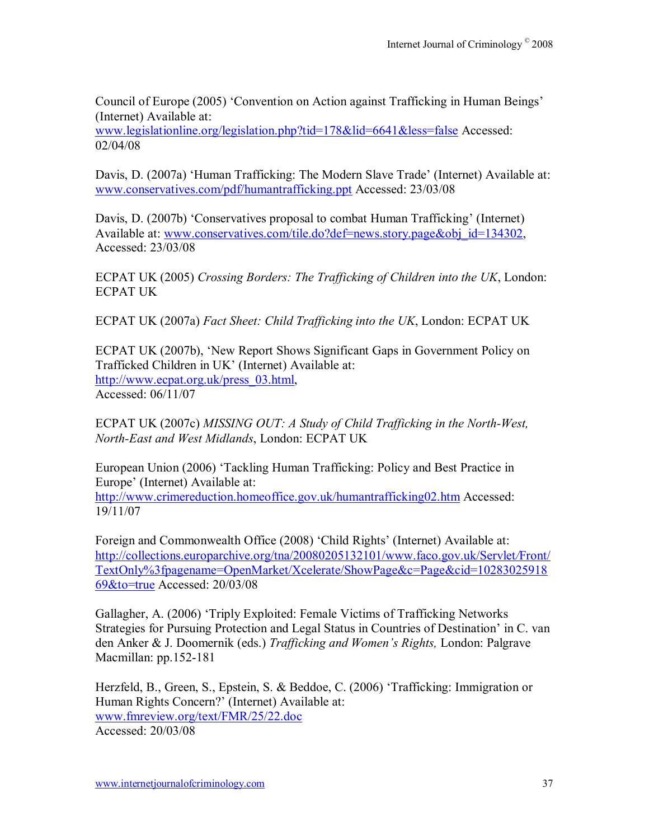Council of Europe (2005) 'Convention on Action against Trafficking in Human Beings' (Internet) Available at:

www.legislationline.org/legislation.php?tid=178&lid=6641&less=false Accessed: 02/04/08

Davis, D. (2007a) 'Human Trafficking: The Modern Slave Trade' (Internet) Available at: www.conservatives.com/pdf/humantrafficking.ppt Accessed: 23/03/08

Davis, D. (2007b) 'Conservatives proposal to combat Human Trafficking' (Internet) Available at: www.conservatives.com/tile.do?def=news.story.page&obj\_id=134302, Accessed: 23/03/08

ECPAT UK (2005) *Crossing Borders: The Trafficking of Children into the UK*, London: ECPAT UK

ECPAT UK (2007a) *Fact Sheet: Child Trafficking into the UK*, London: ECPAT UK

ECPAT UK (2007b), 'New Report Shows Significant Gaps in Government Policy on Trafficked Children in UK' (Internet) Available at: http://www.ecpat.org.uk/press\_03.html, Accessed: 06/11/07

ECPAT UK (2007c) *MISSING OUT: A Study of Child Trafficking in the North-West, North-East and West Midlands*, London: ECPAT UK

European Union (2006) 'Tackling Human Trafficking: Policy and Best Practice in Europe' (Internet) Available at: http://www.crimereduction.homeoffice.gov.uk/humantrafficking02.htm Accessed: 19/11/07

Foreign and Commonwealth Office (2008) 'Child Rights' (Internet) Available at: http://collections.europarchive.org/tna/20080205132101/www.faco.gov.uk/Servlet*/*Front/ TextOnly%3fpagename=OpenMarket/Xcelerate/ShowPage&c=Page&cid=10283025918 69&to=true Accessed: 20/03/08

Gallagher, A. (2006) 'Triply Exploited: Female Victims of Trafficking Networks Strategies for Pursuing Protection and Legal Status in Countries of Destination' in C. van den Anker & J. Doomernik (eds.) *Trafficking and Womenís Rights,* London: Palgrave Macmillan: pp.152-181

Herzfeld, B., Green, S., Epstein, S. & Beddoe, C. (2006) 'Trafficking: Immigration or Human Rights Concern?' (Internet) Available at: www.fmreview.org/text/FMR/25/22.doc Accessed: 20/03/08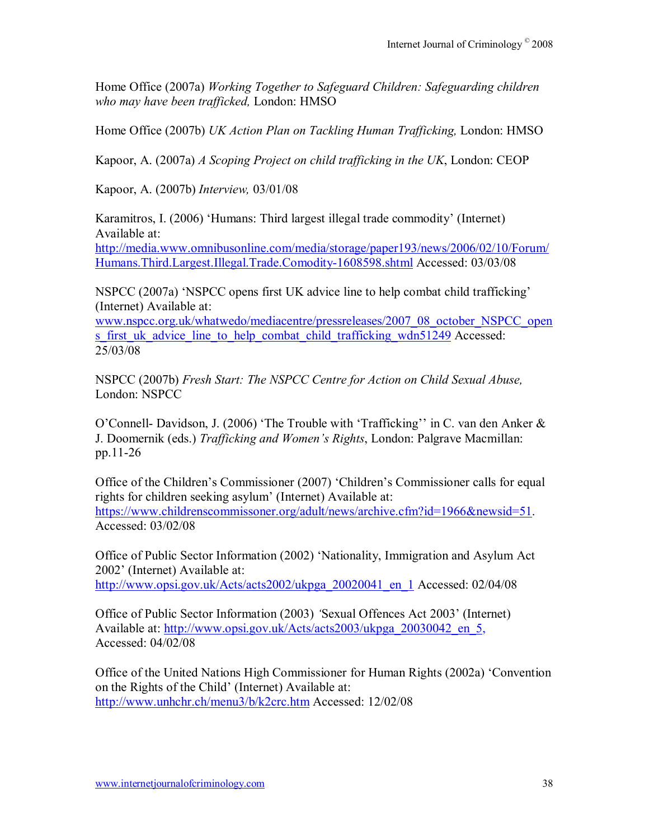Home Office (2007a) *Working Together to Safeguard Children: Safeguarding children who may have been trafficked,* London: HMSO

Home Office (2007b) *UK Action Plan on Tackling Human Trafficking,* London: HMSO

Kapoor, A. (2007a) *A Scoping Project on child trafficking in the UK*, London: CEOP

Kapoor, A. (2007b) *Interview,* 03/01/08

Karamitros, I. (2006) 'Humans: Third largest illegal trade commodity' (Internet) Available at:

http://media.www.omnibusonline.com/media/storage/paper193/news/2006/02/10/Forum/ Humans.Third.Largest.Illegal.Trade.Comodity-1608598.shtml Accessed: 03/03/08

NSPCC (2007a) 'NSPCC opens first UK advice line to help combat child trafficking' (Internet) Available at:

www.nspcc.org.uk/whatwedo/mediacentre/pressreleases/2007\_08\_october\_NSPCC\_open s first uk advice line to help combat child trafficking wdn51249 Accessed: 25/03/08

NSPCC (2007b) *Fresh Start: The NSPCC Centre for Action on Child Sexual Abuse,* London: NSPCC

O'Connell- Davidson, J. (2006) 'The Trouble with 'Trafficking' in C. van den Anker  $\&$ J. Doomernik (eds.) *Trafficking and Womenís Rights*, London: Palgrave Macmillan: pp.11-26

Office of the Children's Commissioner (2007) 'Children's Commissioner calls for equal rights for children seeking asylum' (Internet) Available at: https://www.childrenscommissoner.org/adult/news/archive.cfm?id=1966&newsid=51. Accessed: 03/02/08

Office of Public Sector Information (2002) ëNationality, Immigration and Asylum Act 2002' (Internet) Available at: http://www.opsi.gov.uk/Acts/acts2002/ukpga\_20020041\_en\_1 Accessed: 02/04/08

Office of Public Sector Information (2003) 'Sexual Offences Act 2003' (Internet) Available at: http://www.opsi.gov.uk/Acts/acts2003/ukpga\_20030042\_en\_5, Accessed: 04/02/08

Office of the United Nations High Commissioner for Human Rights (2002a) 'Convention on the Rights of the Child' (Internet) Available at: http://www.unhchr.ch/menu3/b/k2crc.htm Accessed: 12/02/08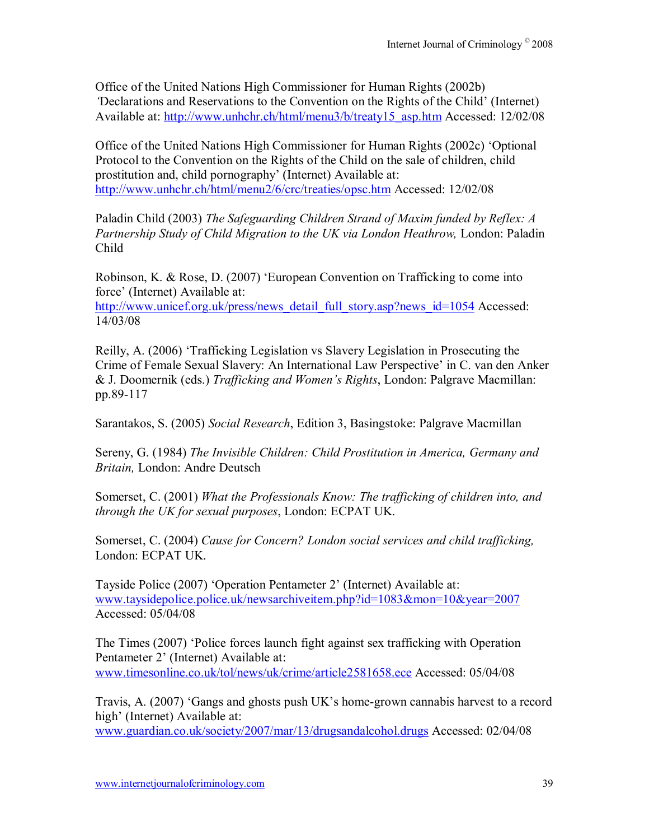Office of the United Nations High Commissioner for Human Rights (2002b) Declarations and Reservations to the Convention on the Rights of the Child<sup> $\prime$ </sup> (Internet) Available at: http://www.unhchr.ch/html/menu3/b/treaty15\_asp.htm Accessed: 12/02/08

Office of the United Nations High Commissioner for Human Rights (2002c) ëOptional Protocol to the Convention on the Rights of the Child on the sale of children, child prostitution and, child pornography' (Internet) Available at: http://www.unhchr.ch/html/menu2/6/crc/treaties/opsc.htm Accessed: 12/02/08

Paladin Child (2003) *The Safeguarding Children Strand of Maxim funded by Reflex: A*  Partnership Study of Child Migration to the UK via London Heathrow, London: Paladin Child

Robinson, K. & Rose, D. (2007) 'European Convention on Trafficking to come into force' (Internet) Available at: http://www.unicef.org.uk/press/news\_detail\_full\_story.asp?news\_id=1054 Accessed: 14/03/08

Reilly, A. (2006) ëTrafficking Legislation vs Slavery Legislation in Prosecuting the Crime of Female Sexual Slavery: An International Law Perspective' in C. van den Anker & J. Doomernik (eds.) *Trafficking and Womenís Rights*, London: Palgrave Macmillan: pp.89-117

Sarantakos, S. (2005) *Social Research*, Edition 3, Basingstoke: Palgrave Macmillan

Sereny, G. (1984) *The Invisible Children: Child Prostitution in America, Germany and Britain,* London: Andre Deutsch

Somerset, C. (2001) *What the Professionals Know: The trafficking of children into, and through the UK for sexual purposes*, London: ECPAT UK.

Somerset, C. (2004) *Cause for Concern? London social services and child trafficking,*  London: ECPAT UK.

Tayside Police (2007) 'Operation Pentameter 2' (Internet) Available at: www.taysidepolice.police.uk/newsarchiveitem.php?id=1083&mon=10&year=2007 Accessed: 05/04/08

The Times (2007) 'Police forces launch fight against sex trafficking with Operation Pentameter 2' (Internet) Available at: www.timesonline.co.uk/tol/news/uk/crime/article2581658.ece Accessed: 05/04/08

Travis, A. (2007) 'Gangs and ghosts push UK's home-grown cannabis harvest to a record high' (Internet) Available at:

www.guardian.co.uk/society/2007/mar/13/drugsandalcohol.drugs Accessed: 02/04/08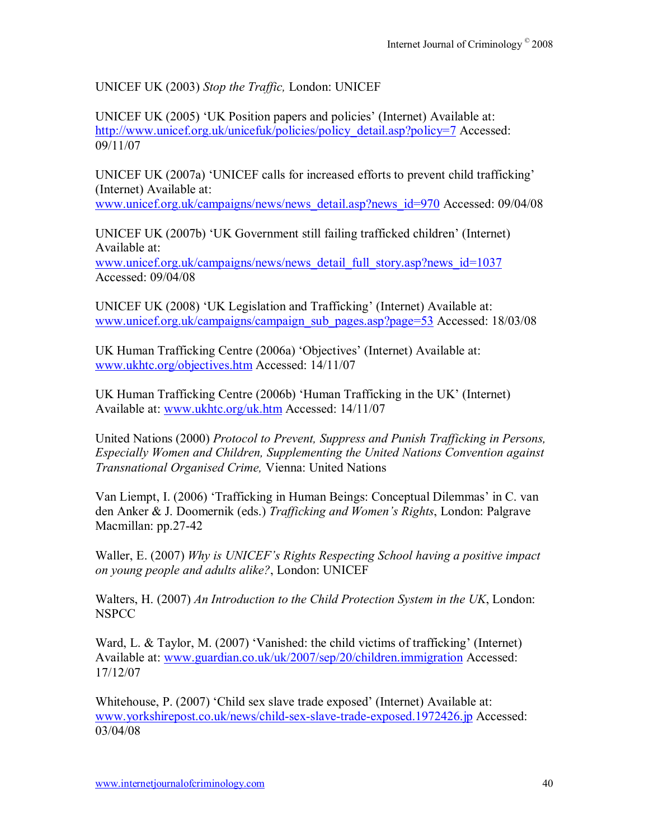UNICEF UK (2003) *Stop the Traffic,* London: UNICEF

UNICEF UK (2005) 'UK Position papers and policies' (Internet) Available at: http://www.unicef.org.uk/unicefuk/policies/policy\_detail.asp?policy=7 Accessed: 09/11/07

UNICEF UK (2007a) 'UNICEF calls for increased efforts to prevent child trafficking' (Internet) Available at:

www.unicef.org.uk/campaigns/news/news\_detail.asp?news\_id=970 Accessed: 09/04/08

UNICEF UK (2007b) 'UK Government still failing trafficked children' (Internet) Available at:

www.unicef.org.uk/campaigns/news/news\_detail\_full\_story.asp?news\_id=1037 Accessed: 09/04/08

UNICEF UK (2008) 'UK Legislation and Trafficking' (Internet) Available at: www.unicef.org.uk/campaigns/campaign\_sub\_pages.asp?page=53 Accessed: 18/03/08

UK Human Trafficking Centre (2006a) 'Objectives' (Internet) Available at: www.ukhtc.org/objectives.htm Accessed: 14/11/07

UK Human Trafficking Centre  $(2006b)$  'Human Trafficking in the UK' (Internet) Available at: www.ukhtc.org/uk.htm Accessed: 14/11/07

United Nations (2000) *Protocol to Prevent, Suppress and Punish Trafficking in Persons, Especially Women and Children, Supplementing the United Nations Convention against Transnational Organised Crime,* Vienna: United Nations

Van Liempt, I. (2006) 'Trafficking in Human Beings: Conceptual Dilemmas' in C. van den Anker & J. Doomernik (eds.) *Trafficking and Womenís Rights*, London: Palgrave Macmillan: pp.27-42

Waller, E. (2007) *Why is UNICEF's Rights Respecting School having a positive impact on young people and adults alike?*, London: UNICEF

Walters, H. (2007) *An Introduction to the Child Protection System in the UK*, London: **NSPCC** 

Ward, L. & Taylor, M.  $(2007)$  'Vanished: the child victims of trafficking' (Internet) Available at: www.guardian.co.uk/uk/2007/sep/20/children.immigration Accessed: 17/12/07

Whitehouse, P. (2007) 'Child sex slave trade exposed' (Internet) Available at: www.yorkshirepost.co.uk/news/child-sex-slave-trade-exposed.1972426.jp Accessed: 03/04/08